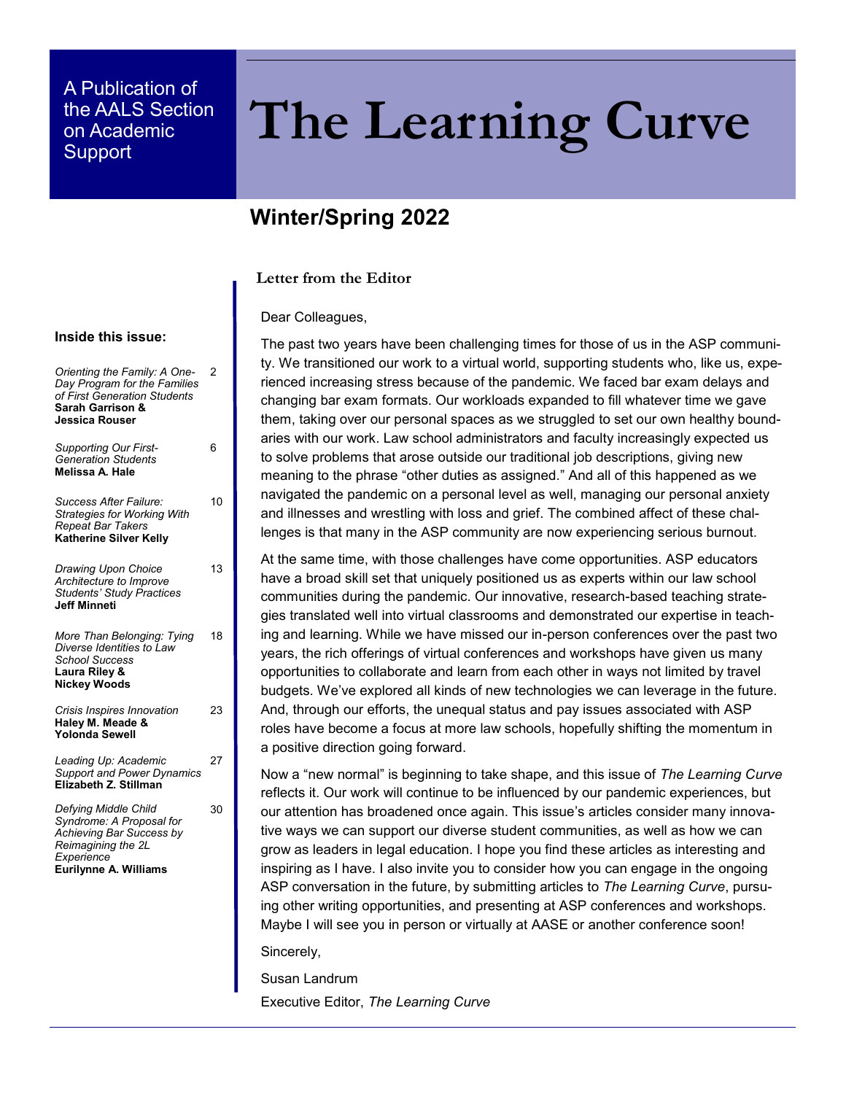## A Publication of the AALS Section on Academic

# the AALS Section **The Learning Curve**

## **Winter/Spring 2022**

## **Letter from the Editor**

#### Dear Colleagues,

The past two years have been challenging times for those of us in the ASP community. We transitioned our work to a virtual world, supporting students who, like us, experienced increasing stress because of the pandemic. We faced bar exam delays and changing bar exam formats. Our workloads expanded to fill whatever time we gave them, taking over our personal spaces as we struggled to set our own healthy boundaries with our work. Law school administrators and faculty increasingly expected us to solve problems that arose outside our traditional job descriptions, giving new meaning to the phrase "other duties as assigned." And all of this happened as we navigated the pandemic on a personal level as well, managing our personal anxiety and illnesses and wrestling with loss and grief. The combined affect of these challenges is that many in the ASP community are now experiencing serious burnout.

At the same time, with those challenges have come opportunities. ASP educators have a broad skill set that uniquely positioned us as experts within our law school communities during the pandemic. Our innovative, research-based teaching strategies translated well into virtual classrooms and demonstrated our expertise in teaching and learning. While we have missed our in-person conferences over the past two years, the rich offerings of virtual conferences and workshops have given us many opportunities to collaborate and learn from each other in ways not limited by travel budgets. We've explored all kinds of new technologies we can leverage in the future. And, through our efforts, the unequal status and pay issues associated with ASP roles have become a focus at more law schools, hopefully shifting the momentum in a positive direction going forward.

Now a "new normal" is beginning to take shape, and this issue of *The Learning Curve*  reflects it. Our work will continue to be influenced by our pandemic experiences, but our attention has broadened once again. This issue's articles consider many innovative ways we can support our diverse student communities, as well as how we can grow as leaders in legal education. I hope you find these articles as interesting and inspiring as I have. I also invite you to consider how you can engage in the ongoing ASP conversation in the future, by submitting articles to *The Learning Curve*, pursuing other writing opportunities, and presenting at ASP conferences and workshops. Maybe I will see you in person or virtually at AASE or another conference soon!

Sincerely,

Susan Landrum

Executive Editor, *The Learning Curve*

#### **Inside this issue:**

*Orienting the Family: A One-Day Program for the Families of First Generation Students* **Sarah Garrison & Jessica Rouser** 2

| <b>Supporting Our First-</b><br><b>Generation Students</b><br>Melissa A. Hale                                                             | 6  |
|-------------------------------------------------------------------------------------------------------------------------------------------|----|
| Success After Failure:<br><b>Strategies for Working With</b><br><b>Repeat Bar Takers</b><br><b>Katherine Silver Kellv</b>                 | 10 |
| Drawing Upon Choice<br>Architecture to Improve<br><b>Students' Study Practices</b><br><b>Jeff Minneti</b>                                 | 13 |
| More Than Belonging: Tying<br>Diverse Identities to Law<br><b>School Success</b><br>Laura Rilev &<br><b>Nickey Woods</b>                  | 18 |
| Crisis Inspires Innovation<br>Haley M. Meade &<br><b>Yolonda Sewell</b>                                                                   | 23 |
| Leading Up: Academic<br><b>Support and Power Dynamics</b><br><b>Elizabeth Z. Stillman</b>                                                 | 27 |
| Defying Middle Child<br>Syndrome: A Proposal for<br>Achieving Bar Success by<br>Reimagining the 2L<br>Experience<br>Eurilynne A. Williams | 30 |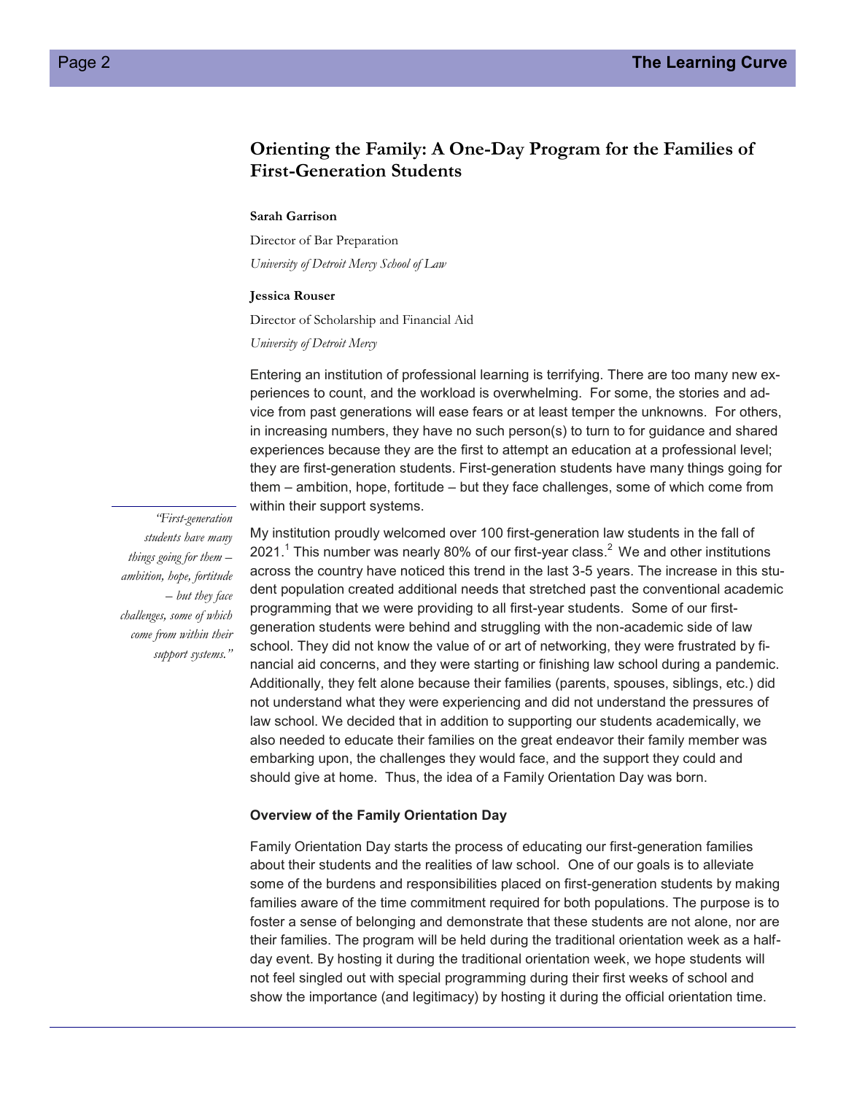## **Orienting the Family: A One-Day Program for the Families of First-Generation Students**

#### **Sarah Garrison**

Director of Bar Preparation *University of Detroit Mercy School of Law*

#### **Jessica Rouser**

Director of Scholarship and Financial Aid

*University of Detroit Mercy*

Entering an institution of professional learning is terrifying. There are too many new experiences to count, and the workload is overwhelming. For some, the stories and advice from past generations will ease fears or at least temper the unknowns. For others, in increasing numbers, they have no such person(s) to turn to for guidance and shared experiences because they are the first to attempt an education at a professional level; they are first-generation students. First-generation students have many things going for them – ambition, hope, fortitude – but they face challenges, some of which come from within their support systems.

*"First-generation students have many things going for them – ambition, hope, fortitude – but they face challenges, some of which come from within their support systems."*

My institution proudly welcomed over 100 first-generation law students in the fall of 2021. $^1$  This number was nearly 80% of our first-year class. $^2$  We and other institutions across the country have noticed this trend in the last 3-5 years. The increase in this student population created additional needs that stretched past the conventional academic programming that we were providing to all first-year students. Some of our firstgeneration students were behind and struggling with the non-academic side of law school. They did not know the value of or art of networking, they were frustrated by financial aid concerns, and they were starting or finishing law school during a pandemic. Additionally, they felt alone because their families (parents, spouses, siblings, etc.) did not understand what they were experiencing and did not understand the pressures of law school. We decided that in addition to supporting our students academically, we also needed to educate their families on the great endeavor their family member was embarking upon, the challenges they would face, and the support they could and should give at home. Thus, the idea of a Family Orientation Day was born.

#### **Overview of the Family Orientation Day**

Family Orientation Day starts the process of educating our first-generation families about their students and the realities of law school. One of our goals is to alleviate some of the burdens and responsibilities placed on first-generation students by making families aware of the time commitment required for both populations. The purpose is to foster a sense of belonging and demonstrate that these students are not alone, nor are their families. The program will be held during the traditional orientation week as a halfday event. By hosting it during the traditional orientation week, we hope students will not feel singled out with special programming during their first weeks of school and show the importance (and legitimacy) by hosting it during the official orientation time.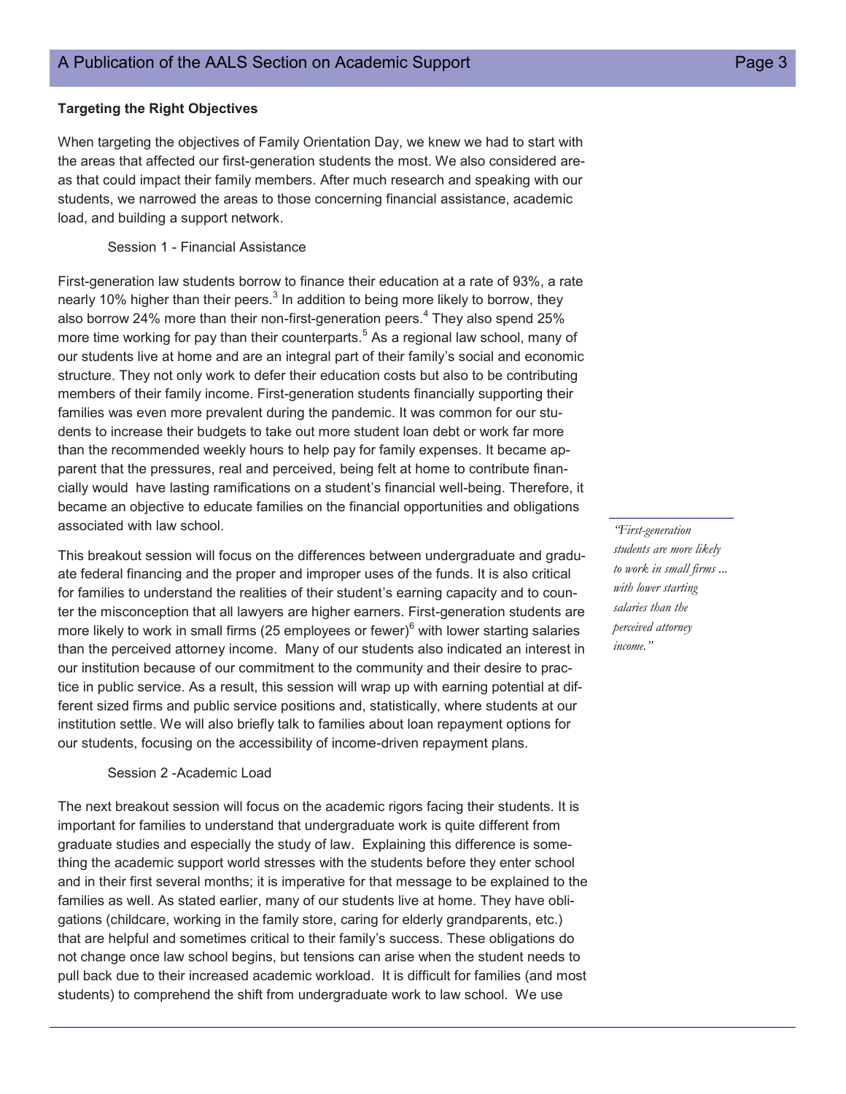#### **Targeting the Right Objectives**

When targeting the objectives of Family Orientation Day, we knew we had to start with the areas that affected our first-generation students the most. We also considered areas that could impact their family members. After much research and speaking with our students, we narrowed the areas to those concerning financial assistance, academic load, and building a support network.

Session 1 - Financial Assistance

First-generation law students borrow to finance their education at a rate of 93%, a rate nearly 10% higher than their peers. $^3$  In addition to being more likely to borrow, they also borrow 24% more than their non-first-generation peers.<sup>4</sup> They also spend 25% more time working for pay than their counterparts.<sup>5</sup> As a regional law school, many of our students live at home and are an integral part of their family's social and economic structure. They not only work to defer their education costs but also to be contributing members of their family income. First-generation students financially supporting their families was even more prevalent during the pandemic. It was common for our students to increase their budgets to take out more student loan debt or work far more than the recommended weekly hours to help pay for family expenses. It became apparent that the pressures, real and perceived, being felt at home to contribute financially would have lasting ramifications on a student's financial well-being. Therefore, it became an objective to educate families on the financial opportunities and obligations associated with law school.

This breakout session will focus on the differences between undergraduate and graduate federal financing and the proper and improper uses of the funds. It is also critical for families to understand the realities of their student's earning capacity and to counter the misconception that all lawyers are higher earners. First-generation students are more likely to work in small firms (25 employees or fewer)<sup>6</sup> with lower starting salaries than the perceived attorney income. Many of our students also indicated an interest in our institution because of our commitment to the community and their desire to practice in public service. As a result, this session will wrap up with earning potential at different sized firms and public service positions and, statistically, where students at our institution settle. We will also briefly talk to families about loan repayment options for our students, focusing on the accessibility of income-driven repayment plans.

#### Session 2 -Academic Load

The next breakout session will focus on the academic rigors facing their students. It is important for families to understand that undergraduate work is quite different from graduate studies and especially the study of law. Explaining this difference is something the academic support world stresses with the students before they enter school and in their first several months; it is imperative for that message to be explained to the families as well. As stated earlier, many of our students live at home. They have obligations (childcare, working in the family store, caring for elderly grandparents, etc.) that are helpful and sometimes critical to their family's success. These obligations do not change once law school begins, but tensions can arise when the student needs to pull back due to their increased academic workload. It is difficult for families (and most students) to comprehend the shift from undergraduate work to law school. We use

*"First-generation students are more likely to work in small firms ... with lower starting salaries than the perceived attorney income."*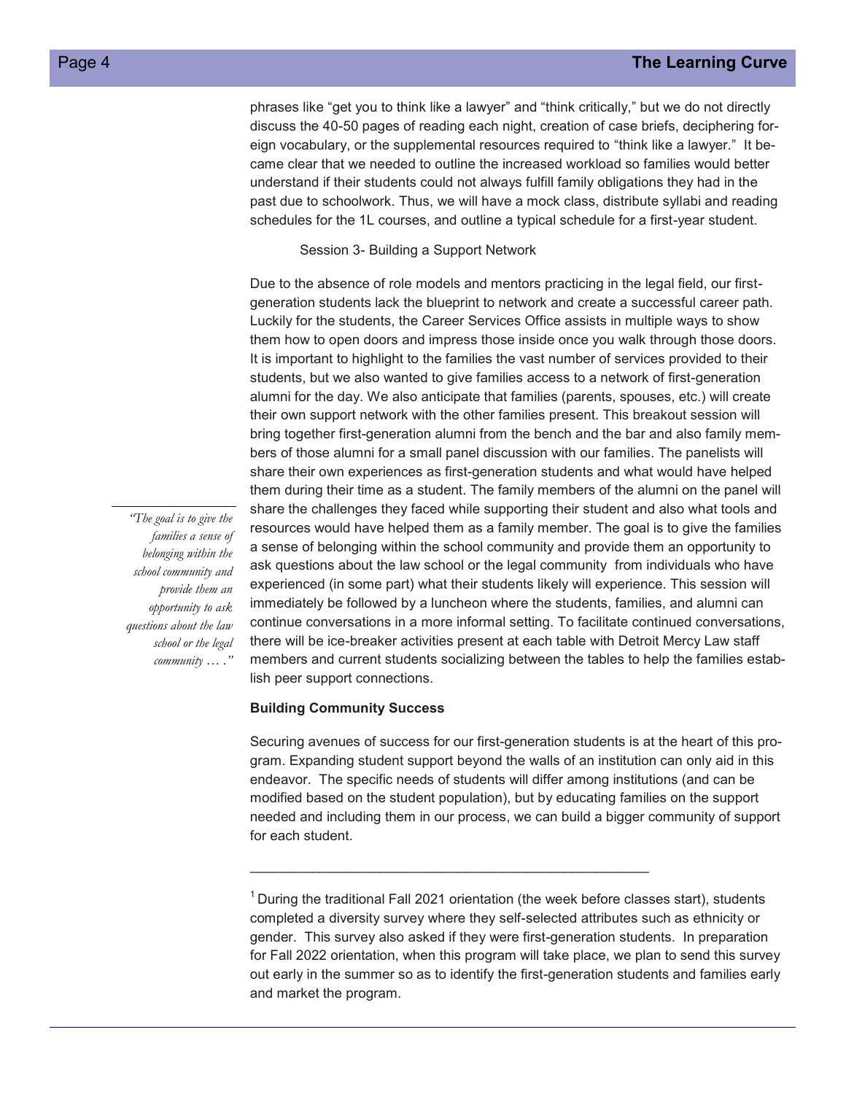phrases like "get you to think like a lawyer" and "think critically," but we do not directly discuss the 40-50 pages of reading each night, creation of case briefs, deciphering foreign vocabulary, or the supplemental resources required to "think like a lawyer." It became clear that we needed to outline the increased workload so families would better understand if their students could not always fulfill family obligations they had in the past due to schoolwork. Thus, we will have a mock class, distribute syllabi and reading schedules for the 1L courses, and outline a typical schedule for a first-year student.

Session 3- Building a Support Network

Due to the absence of role models and mentors practicing in the legal field, our firstgeneration students lack the blueprint to network and create a successful career path. Luckily for the students, the Career Services Office assists in multiple ways to show them how to open doors and impress those inside once you walk through those doors. It is important to highlight to the families the vast number of services provided to their students, but we also wanted to give families access to a network of first-generation alumni for the day. We also anticipate that families (parents, spouses, etc.) will create their own support network with the other families present. This breakout session will bring together first-generation alumni from the bench and the bar and also family members of those alumni for a small panel discussion with our families. The panelists will share their own experiences as first-generation students and what would have helped them during their time as a student. The family members of the alumni on the panel will share the challenges they faced while supporting their student and also what tools and resources would have helped them as a family member. The goal is to give the families a sense of belonging within the school community and provide them an opportunity to ask questions about the law school or the legal community from individuals who have experienced (in some part) what their students likely will experience. This session will immediately be followed by a luncheon where the students, families, and alumni can continue conversations in a more informal setting. To facilitate continued conversations, there will be ice-breaker activities present at each table with Detroit Mercy Law staff members and current students socializing between the tables to help the families establish peer support connections.

#### **Building Community Success**

Securing avenues of success for our first-generation students is at the heart of this program. Expanding student support beyond the walls of an institution can only aid in this endeavor. The specific needs of students will differ among institutions (and can be modified based on the student population), but by educating families on the support needed and including them in our process, we can build a bigger community of support for each student.

\_\_\_\_\_\_\_\_\_\_\_\_\_\_\_\_\_\_\_\_\_\_\_\_\_\_\_\_\_\_\_\_\_\_\_\_\_\_\_\_\_\_\_\_\_\_\_\_\_\_\_\_

*"The goal is to give the families a sense of belonging within the school community and provide them an opportunity to ask questions about the law school or the legal community … ."*

 $1$  During the traditional Fall 2021 orientation (the week before classes start), students completed a diversity survey where they self-selected attributes such as ethnicity or gender. This survey also asked if they were first-generation students. In preparation for Fall 2022 orientation, when this program will take place, we plan to send this survey out early in the summer so as to identify the first-generation students and families early and market the program.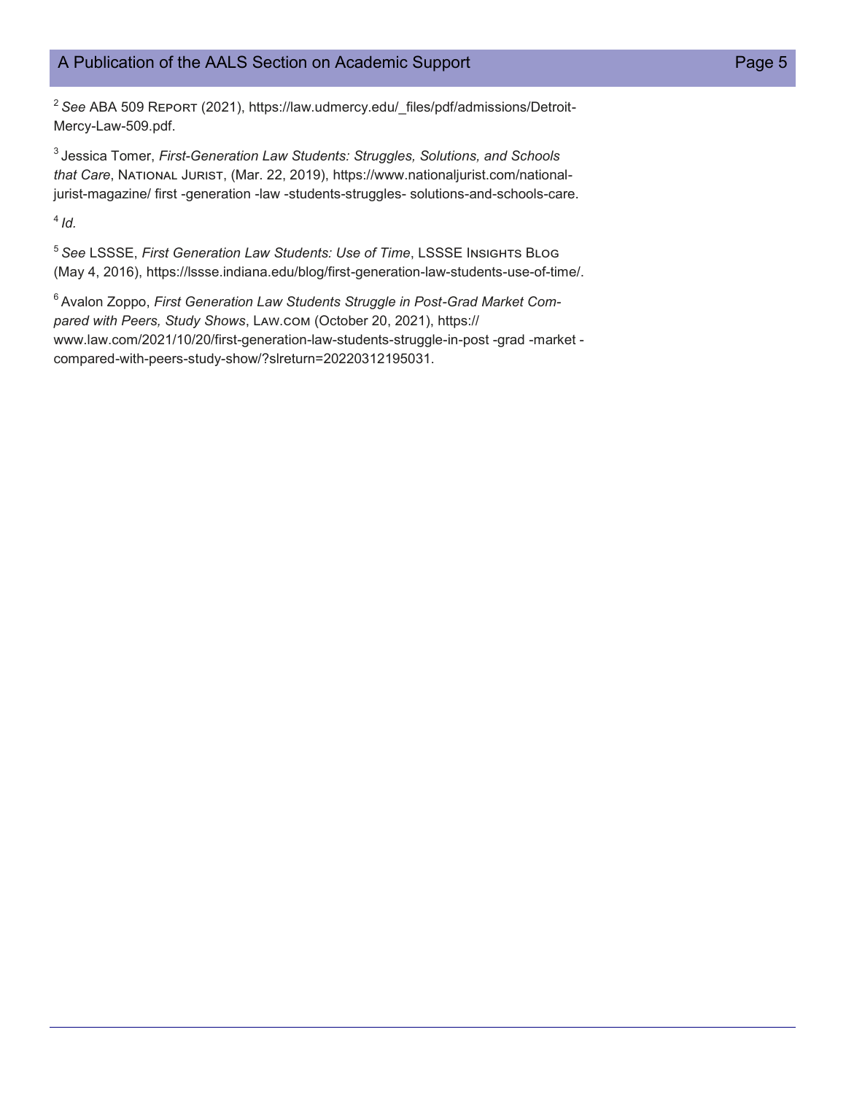## A Publication of the AALS Section on Academic Support **Page 5** Page 5

<sup>2</sup> See ABA 509 REPORT (2021), https://law.udmercy.edu/\_files/pdf/admissions/Detroit-Mercy-Law-509.pdf.

<sup>3</sup>Jessica Tomer, *First-Generation Law Students: Struggles, Solutions, and Schools that Care*, National Jurist, (Mar. 22, 2019), https://www.nationaljurist.com/nationaljurist-magazine/ first -generation -law -students-struggles- solutions-and-schools-care.

 $4/d$ .

<sup>5</sup>*See* LSSSE, *First Generation Law Students: Use of Time*, LSSSE Insights Blog (May 4, 2016), https://lssse.indiana.edu/blog/first-generation-law-students-use-of-time/.

<sup>6</sup> Avalon Zoppo, *First Generation Law Students Struggle in Post-Grad Market Compared with Peers, Study Shows*, Law.com (October 20, 2021), https:// www.law.com/2021/10/20/first-generation-law-students-struggle-in-post -grad -market compared-with-peers-study-show/?slreturn=20220312195031.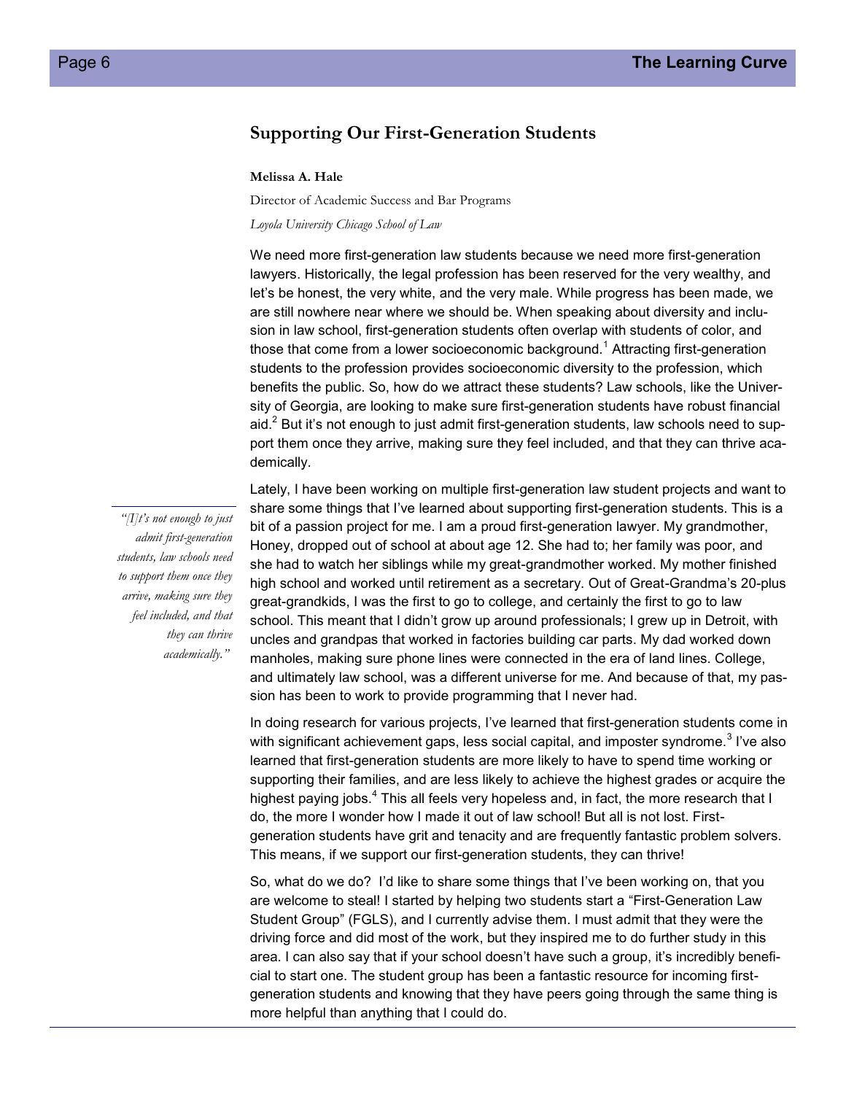## **Supporting Our First-Generation Students**

#### **Melissa A. Hale**

Director of Academic Success and Bar Programs

*Loyola University Chicago School of Law* 

We need more first-generation law students because we need more first-generation lawyers. Historically, the legal profession has been reserved for the very wealthy, and let's be honest, the very white, and the very male. While progress has been made, we are still nowhere near where we should be. When speaking about diversity and inclusion in law school, first-generation students often overlap with students of color, and those that come from a lower socioeconomic background.<sup>1</sup> Attracting first-generation students to the profession provides socioeconomic diversity to the profession, which benefits the public. So, how do we attract these students? Law schools, like the University of Georgia, are looking to make sure first-generation students have robust financial aid. $<sup>2</sup>$  But it's not enough to just admit first-generation students, law schools need to sup-</sup> port them once they arrive, making sure they feel included, and that they can thrive academically.

*"[I]t's not enough to just admit first-generation students, law schools need to support them once they arrive, making sure they feel included, and that they can thrive academically."*

Lately, I have been working on multiple first-generation law student projects and want to share some things that I've learned about supporting first-generation students. This is a bit of a passion project for me. I am a proud first-generation lawyer. My grandmother, Honey, dropped out of school at about age 12. She had to; her family was poor, and she had to watch her siblings while my great-grandmother worked. My mother finished high school and worked until retirement as a secretary. Out of Great-Grandma's 20-plus great-grandkids, I was the first to go to college, and certainly the first to go to law school. This meant that I didn't grow up around professionals; I grew up in Detroit, with uncles and grandpas that worked in factories building car parts. My dad worked down manholes, making sure phone lines were connected in the era of land lines. College, and ultimately law school, was a different universe for me. And because of that, my passion has been to work to provide programming that I never had.

In doing research for various projects, I've learned that first-generation students come in with significant achievement gaps, less social capital, and imposter syndrome. $^3$  I've also learned that first-generation students are more likely to have to spend time working or supporting their families, and are less likely to achieve the highest grades or acquire the highest paying jobs.<sup>4</sup> This all feels very hopeless and, in fact, the more research that I do, the more I wonder how I made it out of law school! But all is not lost. Firstgeneration students have grit and tenacity and are frequently fantastic problem solvers. This means, if we support our first-generation students, they can thrive!

So, what do we do? I'd like to share some things that I've been working on, that you are welcome to steal! I started by helping two students start a "First-Generation Law Student Group" (FGLS), and I currently advise them. I must admit that they were the driving force and did most of the work, but they inspired me to do further study in this area. I can also say that if your school doesn't have such a group, it's incredibly beneficial to start one. The student group has been a fantastic resource for incoming firstgeneration students and knowing that they have peers going through the same thing is more helpful than anything that I could do.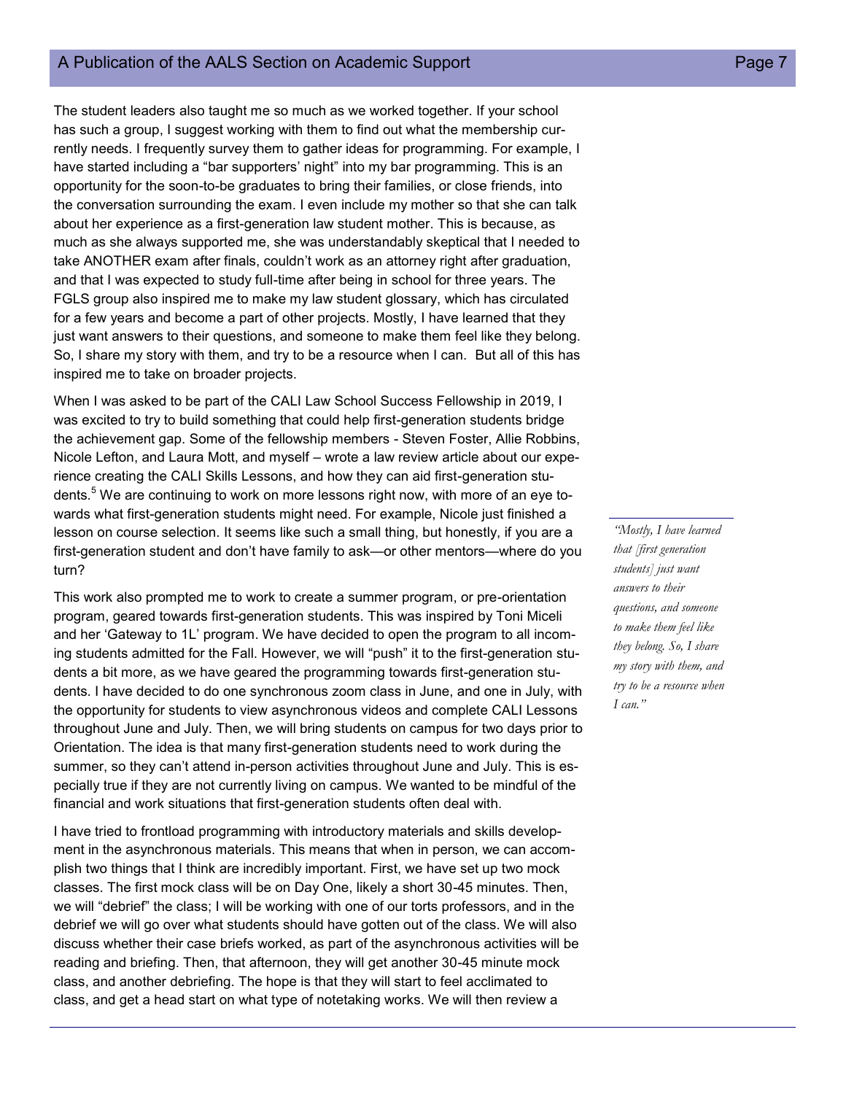#### A Publication of the AALS Section on Academic Support **Page 7** A Publication of the AALS Section on Academic Support

The student leaders also taught me so much as we worked together. If your school has such a group, I suggest working with them to find out what the membership currently needs. I frequently survey them to gather ideas for programming. For example, I have started including a "bar supporters' night" into my bar programming. This is an opportunity for the soon-to-be graduates to bring their families, or close friends, into the conversation surrounding the exam. I even include my mother so that she can talk about her experience as a first-generation law student mother. This is because, as much as she always supported me, she was understandably skeptical that I needed to take ANOTHER exam after finals, couldn't work as an attorney right after graduation, and that I was expected to study full-time after being in school for three years. The FGLS group also inspired me to make my law student glossary, which has circulated for a few years and become a part of other projects. Mostly, I have learned that they just want answers to their questions, and someone to make them feel like they belong. So, I share my story with them, and try to be a resource when I can. But all of this has inspired me to take on broader projects.

When I was asked to be part of the CALI Law School Success Fellowship in 2019, I was excited to try to build something that could help first-generation students bridge the achievement gap. Some of the fellowship members - Steven Foster, Allie Robbins, Nicole Lefton, and Laura Mott, and myself – wrote a law review article about our experience creating the CALI Skills Lessons, and how they can aid first-generation students.<sup>5</sup> We are continuing to work on more lessons right now, with more of an eye towards what first-generation students might need. For example, Nicole just finished a lesson on course selection. It seems like such a small thing, but honestly, if you are a first-generation student and don't have family to ask—or other mentors—where do you turn?

This work also prompted me to work to create a summer program, or pre-orientation program, geared towards first-generation students. This was inspired by Toni Miceli and her 'Gateway to 1L' program. We have decided to open the program to all incoming students admitted for the Fall. However, we will "push" it to the first-generation students a bit more, as we have geared the programming towards first-generation students. I have decided to do one synchronous zoom class in June, and one in July, with the opportunity for students to view asynchronous videos and complete CALI Lessons throughout June and July. Then, we will bring students on campus for two days prior to Orientation. The idea is that many first-generation students need to work during the summer, so they can't attend in-person activities throughout June and July. This is especially true if they are not currently living on campus. We wanted to be mindful of the financial and work situations that first-generation students often deal with.

I have tried to frontload programming with introductory materials and skills development in the asynchronous materials. This means that when in person, we can accomplish two things that I think are incredibly important. First, we have set up two mock classes. The first mock class will be on Day One, likely a short 30-45 minutes. Then, we will "debrief" the class; I will be working with one of our torts professors, and in the debrief we will go over what students should have gotten out of the class. We will also discuss whether their case briefs worked, as part of the asynchronous activities will be reading and briefing. Then, that afternoon, they will get another 30-45 minute mock class, and another debriefing. The hope is that they will start to feel acclimated to class, and get a head start on what type of notetaking works. We will then review a

*"Mostly, I have learned that [first generation students] just want answers to their questions, and someone to make them feel like they belong. So, I share my story with them, and try to be a resource when I can."*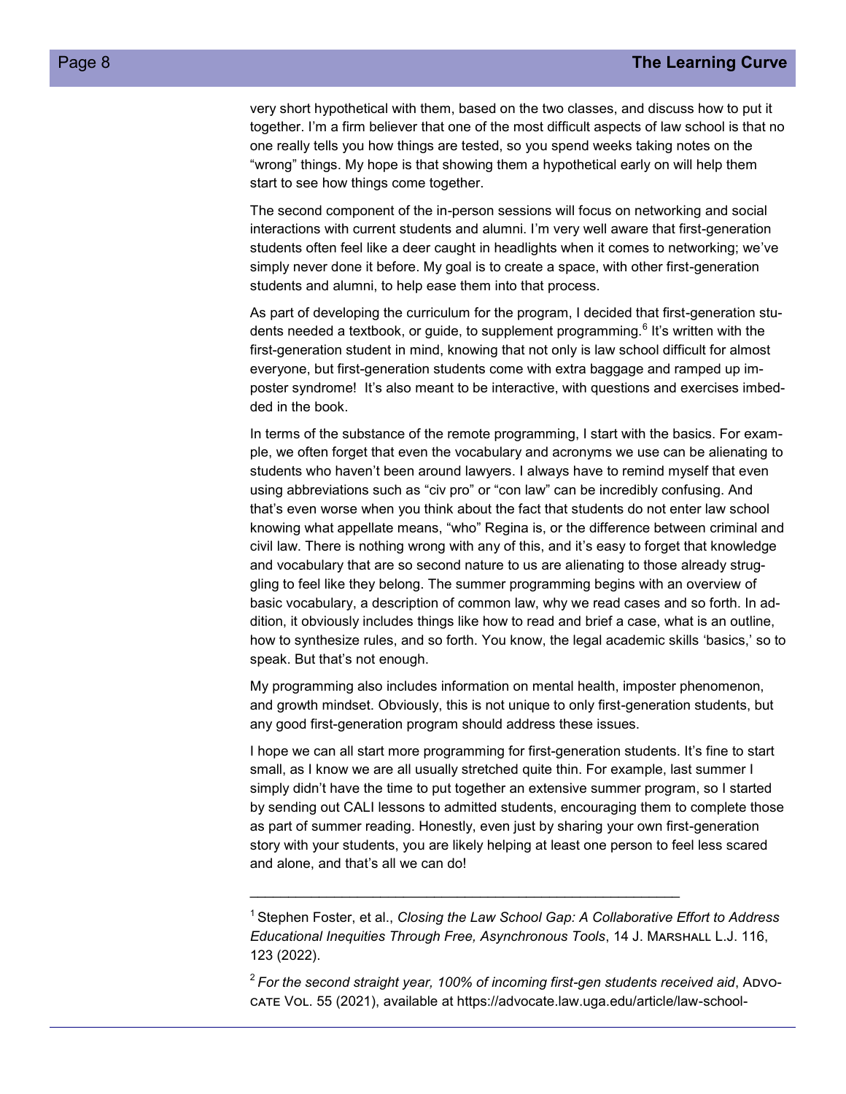very short hypothetical with them, based on the two classes, and discuss how to put it together. I'm a firm believer that one of the most difficult aspects of law school is that no one really tells you how things are tested, so you spend weeks taking notes on the "wrong" things. My hope is that showing them a hypothetical early on will help them start to see how things come together.

The second component of the in-person sessions will focus on networking and social interactions with current students and alumni. I'm very well aware that first-generation students often feel like a deer caught in headlights when it comes to networking; we've simply never done it before. My goal is to create a space, with other first-generation students and alumni, to help ease them into that process.

As part of developing the curriculum for the program, I decided that first-generation students needed a textbook, or guide, to supplement programming.<sup>6</sup> It's written with the first-generation student in mind, knowing that not only is law school difficult for almost everyone, but first-generation students come with extra baggage and ramped up imposter syndrome! It's also meant to be interactive, with questions and exercises imbedded in the book.

In terms of the substance of the remote programming, I start with the basics. For example, we often forget that even the vocabulary and acronyms we use can be alienating to students who haven't been around lawyers. I always have to remind myself that even using abbreviations such as "civ pro" or "con law" can be incredibly confusing. And that's even worse when you think about the fact that students do not enter law school knowing what appellate means, "who" Regina is, or the difference between criminal and civil law. There is nothing wrong with any of this, and it's easy to forget that knowledge and vocabulary that are so second nature to us are alienating to those already struggling to feel like they belong. The summer programming begins with an overview of basic vocabulary, a description of common law, why we read cases and so forth. In addition, it obviously includes things like how to read and brief a case, what is an outline, how to synthesize rules, and so forth. You know, the legal academic skills 'basics,' so to speak. But that's not enough.

My programming also includes information on mental health, imposter phenomenon, and growth mindset. Obviously, this is not unique to only first-generation students, but any good first-generation program should address these issues.

I hope we can all start more programming for first-generation students. It's fine to start small, as I know we are all usually stretched quite thin. For example, last summer I simply didn't have the time to put together an extensive summer program, so I started by sending out CALI lessons to admitted students, encouraging them to complete those as part of summer reading. Honestly, even just by sharing your own first-generation story with your students, you are likely helping at least one person to feel less scared and alone, and that's all we can do!

\_\_\_\_\_\_\_\_\_\_\_\_\_\_\_\_\_\_\_\_\_\_\_\_\_\_\_\_\_\_\_\_\_\_\_\_\_\_\_\_\_\_\_\_\_\_\_\_\_\_\_\_\_\_\_\_

<sup>&</sup>lt;sup>1</sup> Stephen Foster, et al., *Closing the Law School Gap: A Collaborative Effort to Address Educational Inequities Through Free, Asynchronous Tools*, 14 J. Marshall L.J. 116, 123 (2022).

<sup>&</sup>lt;sup>2</sup> For the second straight year, 100% of incoming first-gen students received aid, ADVOcate Vol. 55 (2021), available at https://advocate.law.uga.edu/article/law-school-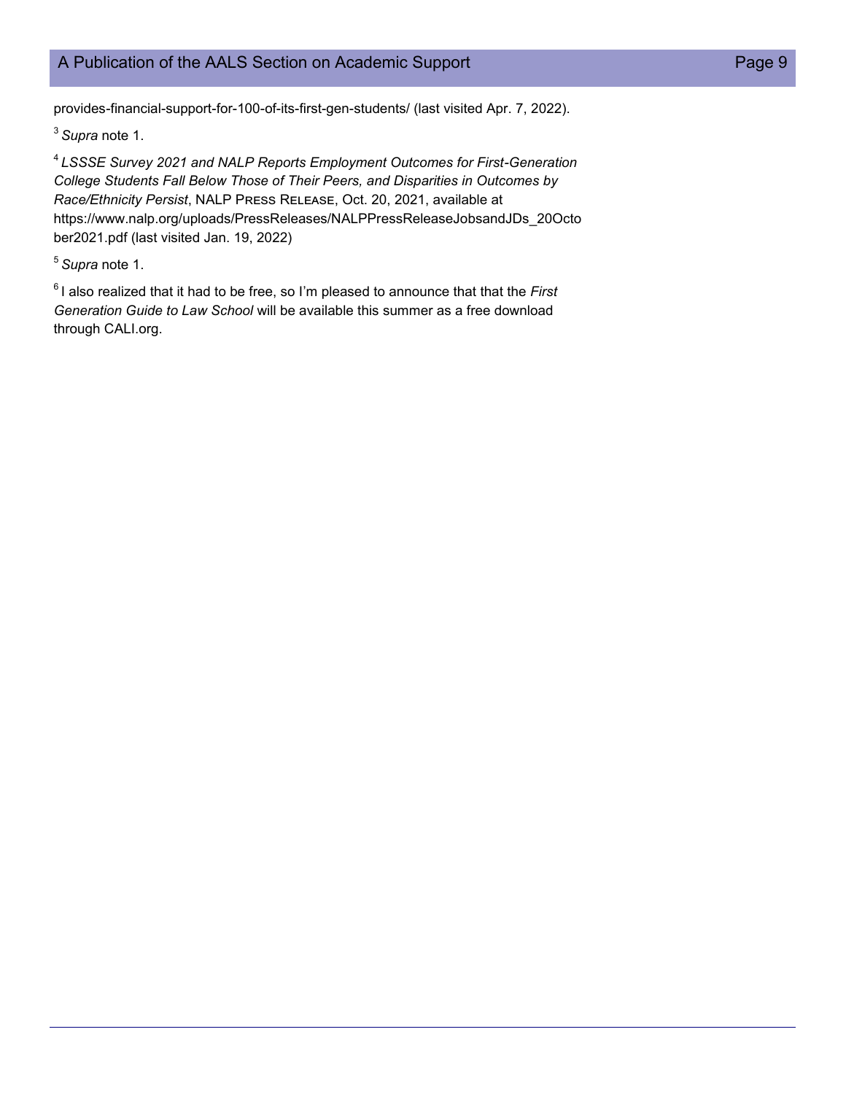## A Publication of the AALS Section on Academic Support **Page 9** Page 9

provides-financial-support-for-100-of-its-first-gen-students/ (last visited Apr. 7, 2022).

<sup>3</sup>*Supra* note 1.

<sup>4</sup>*LSSSE Survey 2021 and NALP Reports Employment Outcomes for First-Generation College Students Fall Below Those of Their Peers, and Disparities in Outcomes by Race/Ethnicity Persist*, NALP Press Release, Oct. 20, 2021, available at https://www.nalp.org/uploads/PressReleases/NALPPressReleaseJobsandJDs\_20Octo ber2021.pdf (last visited Jan. 19, 2022)

<sup>5</sup>*Supra* note 1.

<sup>6</sup>I also realized that it had to be free, so I'm pleased to announce that that the *First Generation Guide to Law School* will be available this summer as a free download through CALI.org.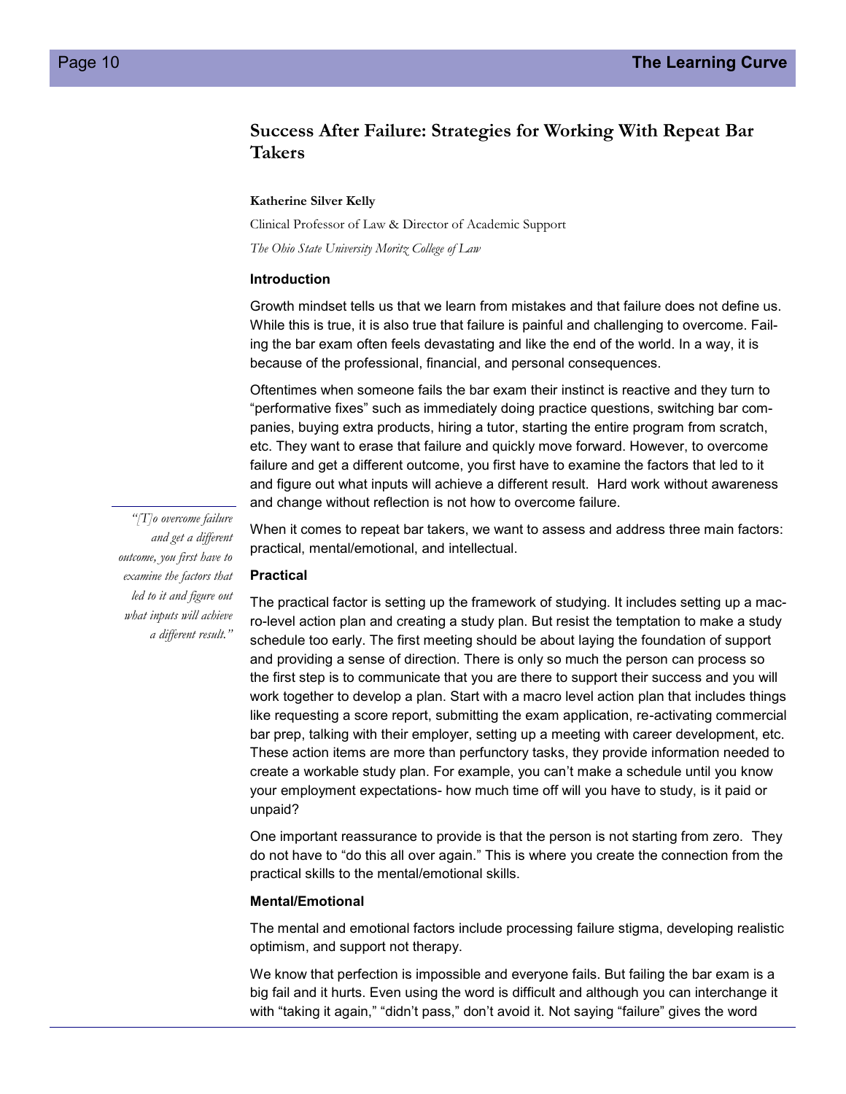## **Success After Failure: Strategies for Working With Repeat Bar Takers**

**Katherine Silver Kelly**

Clinical Professor of Law & Director of Academic Support

*The Ohio State University Moritz College of Law*

#### **Introduction**

Growth mindset tells us that we learn from mistakes and that failure does not define us. While this is true, it is also true that failure is painful and challenging to overcome. Failing the bar exam often feels devastating and like the end of the world. In a way, it is because of the professional, financial, and personal consequences.

Oftentimes when someone fails the bar exam their instinct is reactive and they turn to "performative fixes" such as immediately doing practice questions, switching bar companies, buying extra products, hiring a tutor, starting the entire program from scratch, etc. They want to erase that failure and quickly move forward. However, to overcome failure and get a different outcome, you first have to examine the factors that led to it and figure out what inputs will achieve a different result. Hard work without awareness and change without reflection is not how to overcome failure.

*"[T]o overcome failure and get a different outcome, you first have to examine the factors that led to it and figure out what inputs will achieve a different result."*

When it comes to repeat bar takers, we want to assess and address three main factors: practical, mental/emotional, and intellectual.

#### **Practical**

The practical factor is setting up the framework of studying. It includes setting up a macro-level action plan and creating a study plan. But resist the temptation to make a study schedule too early. The first meeting should be about laying the foundation of support and providing a sense of direction. There is only so much the person can process so the first step is to communicate that you are there to support their success and you will work together to develop a plan. Start with a macro level action plan that includes things like requesting a score report, submitting the exam application, re-activating commercial bar prep, talking with their employer, setting up a meeting with career development, etc. These action items are more than perfunctory tasks, they provide information needed to create a workable study plan. For example, you can't make a schedule until you know your employment expectations- how much time off will you have to study, is it paid or unpaid?

One important reassurance to provide is that the person is not starting from zero. They do not have to "do this all over again." This is where you create the connection from the practical skills to the mental/emotional skills.

#### **Mental/Emotional**

The mental and emotional factors include processing failure stigma, developing realistic optimism, and support not therapy.

We know that perfection is impossible and everyone fails. But failing the bar exam is a big fail and it hurts. Even using the word is difficult and although you can interchange it with "taking it again," "didn't pass," don't avoid it. Not saying "failure" gives the word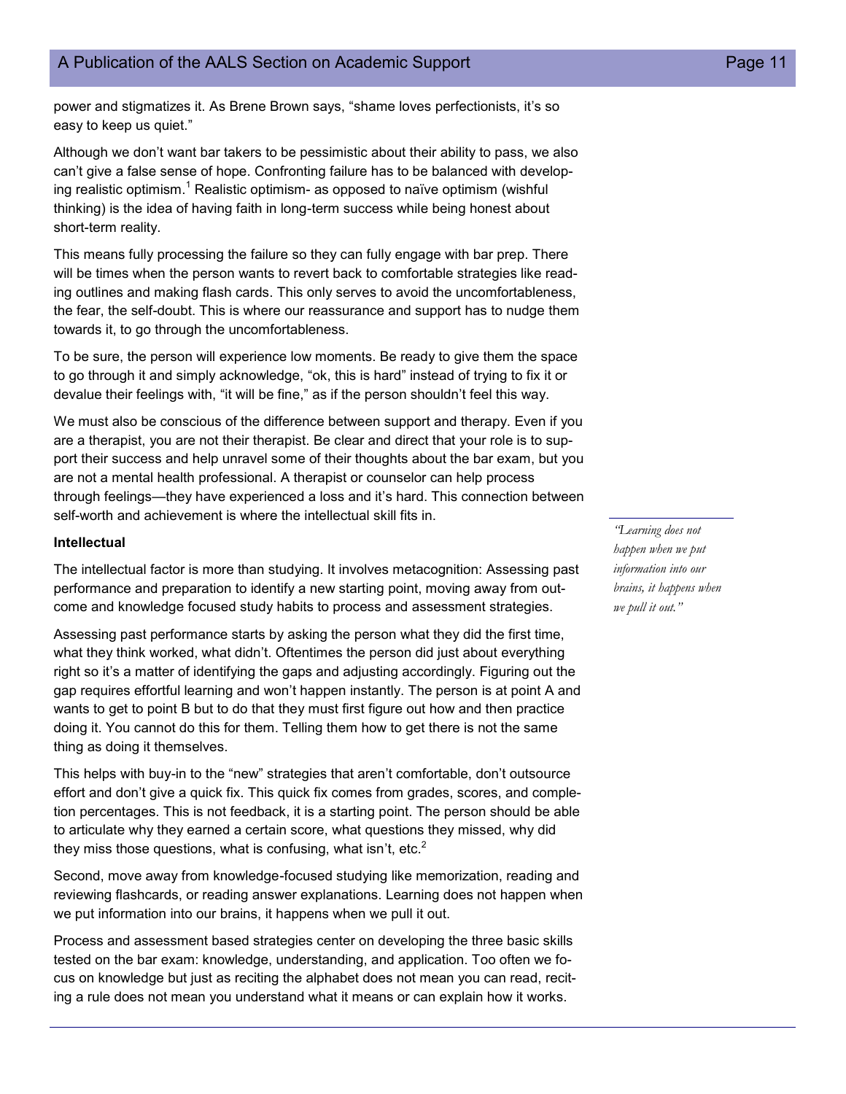power and stigmatizes it. As Brene Brown says, "shame loves perfectionists, it's so easy to keep us quiet."

Although we don't want bar takers to be pessimistic about their ability to pass, we also can't give a false sense of hope. Confronting failure has to be balanced with developing realistic optimism.<sup>1</sup> Realistic optimism- as opposed to naïve optimism (wishful thinking) is the idea of having faith in long-term success while being honest about short-term reality.

This means fully processing the failure so they can fully engage with bar prep. There will be times when the person wants to revert back to comfortable strategies like reading outlines and making flash cards. This only serves to avoid the uncomfortableness, the fear, the self-doubt. This is where our reassurance and support has to nudge them towards it, to go through the uncomfortableness.

To be sure, the person will experience low moments. Be ready to give them the space to go through it and simply acknowledge, "ok, this is hard" instead of trying to fix it or devalue their feelings with, "it will be fine," as if the person shouldn't feel this way.

We must also be conscious of the difference between support and therapy. Even if you are a therapist, you are not their therapist. Be clear and direct that your role is to support their success and help unravel some of their thoughts about the bar exam, but you are not a mental health professional. A therapist or counselor can help process through feelings—they have experienced a loss and it's hard. This connection between self-worth and achievement is where the intellectual skill fits in.

#### **Intellectual**

The intellectual factor is more than studying. It involves metacognition: Assessing past performance and preparation to identify a new starting point, moving away from outcome and knowledge focused study habits to process and assessment strategies.

Assessing past performance starts by asking the person what they did the first time, what they think worked, what didn't. Oftentimes the person did just about everything right so it's a matter of identifying the gaps and adjusting accordingly. Figuring out the gap requires effortful learning and won't happen instantly. The person is at point A and wants to get to point B but to do that they must first figure out how and then practice doing it. You cannot do this for them. Telling them how to get there is not the same thing as doing it themselves.

This helps with buy-in to the "new" strategies that aren't comfortable, don't outsource effort and don't give a quick fix. This quick fix comes from grades, scores, and completion percentages. This is not feedback, it is a starting point. The person should be able to articulate why they earned a certain score, what questions they missed, why did they miss those questions, what is confusing, what isn't, etc. $^2$ 

Second, move away from knowledge-focused studying like memorization, reading and reviewing flashcards, or reading answer explanations. Learning does not happen when we put information into our brains, it happens when we pull it out.

Process and assessment based strategies center on developing the three basic skills tested on the bar exam: knowledge, understanding, and application. Too often we focus on knowledge but just as reciting the alphabet does not mean you can read, reciting a rule does not mean you understand what it means or can explain how it works.

*"Learning does not happen when we put information into our brains, it happens when we pull it out."*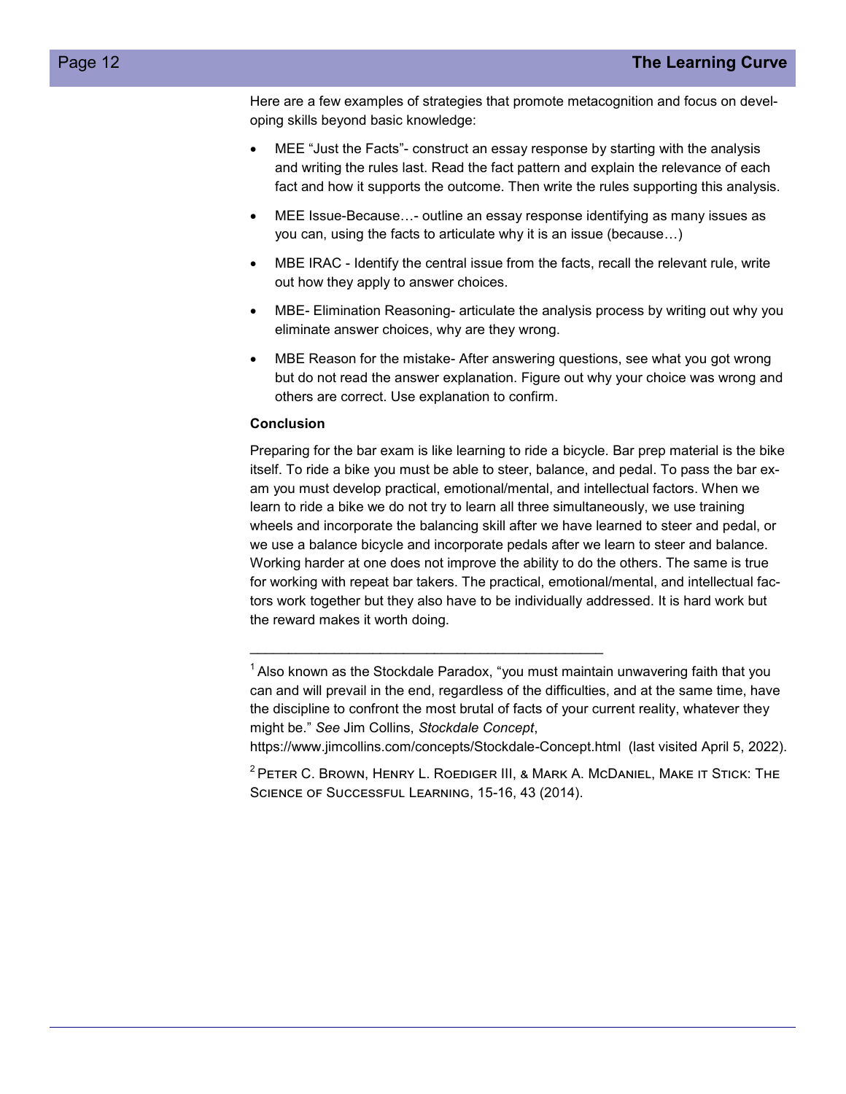Here are a few examples of strategies that promote metacognition and focus on developing skills beyond basic knowledge:

- MEE "Just the Facts"- construct an essay response by starting with the analysis and writing the rules last. Read the fact pattern and explain the relevance of each fact and how it supports the outcome. Then write the rules supporting this analysis.
- MEE Issue-Because…- outline an essay response identifying as many issues as you can, using the facts to articulate why it is an issue (because…)
- MBE IRAC Identify the central issue from the facts, recall the relevant rule, write out how they apply to answer choices.
- MBE- Elimination Reasoning- articulate the analysis process by writing out why you eliminate answer choices, why are they wrong.
- MBE Reason for the mistake- After answering questions, see what you got wrong but do not read the answer explanation. Figure out why your choice was wrong and others are correct. Use explanation to confirm.

#### **Conclusion**

Preparing for the bar exam is like learning to ride a bicycle. Bar prep material is the bike itself. To ride a bike you must be able to steer, balance, and pedal. To pass the bar exam you must develop practical, emotional/mental, and intellectual factors. When we learn to ride a bike we do not try to learn all three simultaneously, we use training wheels and incorporate the balancing skill after we have learned to steer and pedal, or we use a balance bicycle and incorporate pedals after we learn to steer and balance. Working harder at one does not improve the ability to do the others. The same is true for working with repeat bar takers. The practical, emotional/mental, and intellectual factors work together but they also have to be individually addressed. It is hard work but the reward makes it worth doing.

https://www.jimcollins.com/concepts/Stockdale-Concept.html (last visited April 5, 2022).

 $<sup>1</sup>$  Also known as the Stockdale Paradox, "you must maintain unwavering faith that you</sup> can and will prevail in the end, regardless of the difficulties, and at the same time, have the discipline to confront the most brutal of facts of your current reality, whatever they might be." *See* Jim Collins, *Stockdale Concept*,

 $2$ Peter C. Brown, Henry L. Roediger III, & Mark A. McDaniel, Make it Stick: The Science of Successful Learning, 15-16, 43 (2014).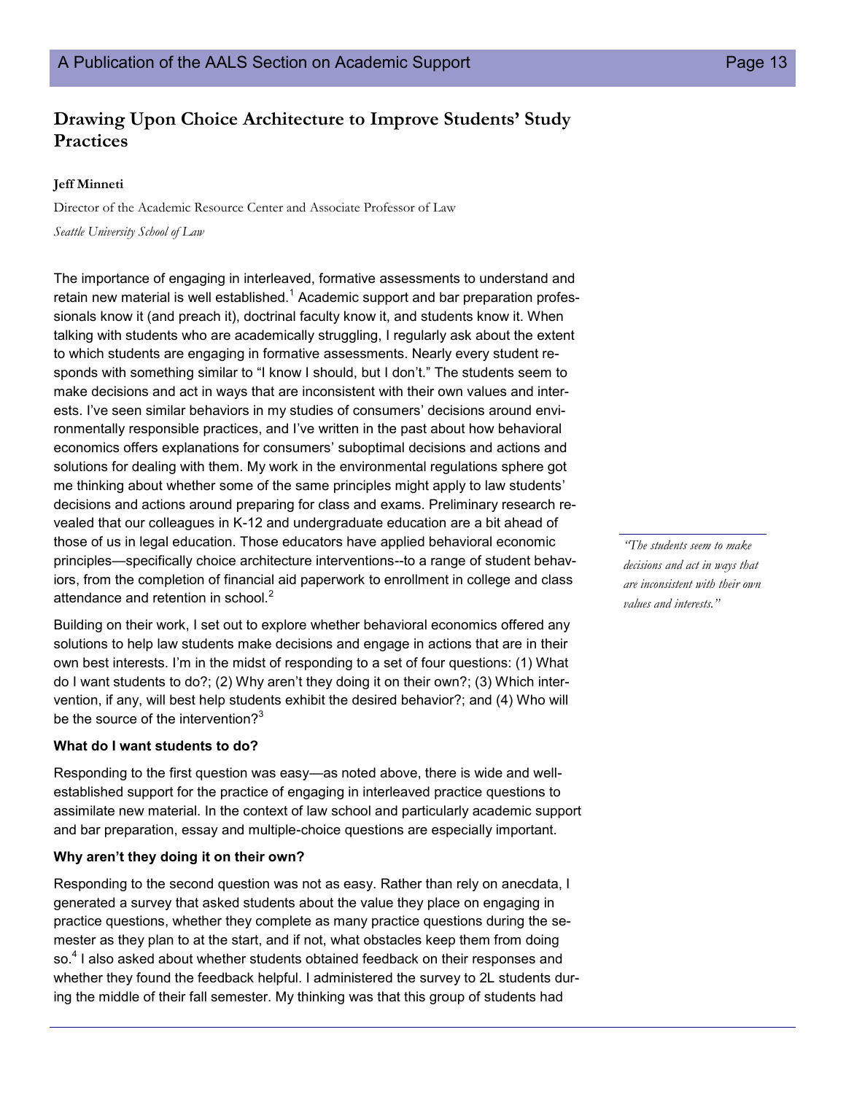## **Drawing Upon Choice Architecture to Improve Students' Study Practices**

#### **Jeff Minneti**

Director of the Academic Resource Center and Associate Professor of Law *Seattle University School of Law* 

The importance of engaging in interleaved, formative assessments to understand and retain new material is well established.<sup>1</sup> Academic support and bar preparation professionals know it (and preach it), doctrinal faculty know it, and students know it. When talking with students who are academically struggling, I regularly ask about the extent to which students are engaging in formative assessments. Nearly every student responds with something similar to "I know I should, but I don't." The students seem to make decisions and act in ways that are inconsistent with their own values and interests. I've seen similar behaviors in my studies of consumers' decisions around environmentally responsible practices, and I've written in the past about how behavioral economics offers explanations for consumers' suboptimal decisions and actions and solutions for dealing with them. My work in the environmental regulations sphere got me thinking about whether some of the same principles might apply to law students' decisions and actions around preparing for class and exams. Preliminary research revealed that our colleagues in K-12 and undergraduate education are a bit ahead of those of us in legal education. Those educators have applied behavioral economic principles—specifically choice architecture interventions--to a range of student behaviors, from the completion of financial aid paperwork to enrollment in college and class attendance and retention in school.<sup>2</sup>

Building on their work, I set out to explore whether behavioral economics offered any solutions to help law students make decisions and engage in actions that are in their own best interests. I'm in the midst of responding to a set of four questions: (1) What do I want students to do?; (2) Why aren't they doing it on their own?; (3) Which intervention, if any, will best help students exhibit the desired behavior?; and (4) Who will be the source of the intervention? $3^3$ 

#### **What do I want students to do?**

Responding to the first question was easy—as noted above, there is wide and wellestablished support for the practice of engaging in interleaved practice questions to assimilate new material. In the context of law school and particularly academic support and bar preparation, essay and multiple-choice questions are especially important.

#### **Why aren't they doing it on their own?**

Responding to the second question was not as easy. Rather than rely on anecdata, I generated a survey that asked students about the value they place on engaging in practice questions, whether they complete as many practice questions during the semester as they plan to at the start, and if not, what obstacles keep them from doing so.<sup>4</sup> I also asked about whether students obtained feedback on their responses and whether they found the feedback helpful. I administered the survey to 2L students during the middle of their fall semester. My thinking was that this group of students had

*"The students seem to make decisions and act in ways that are inconsistent with their own values and interests."*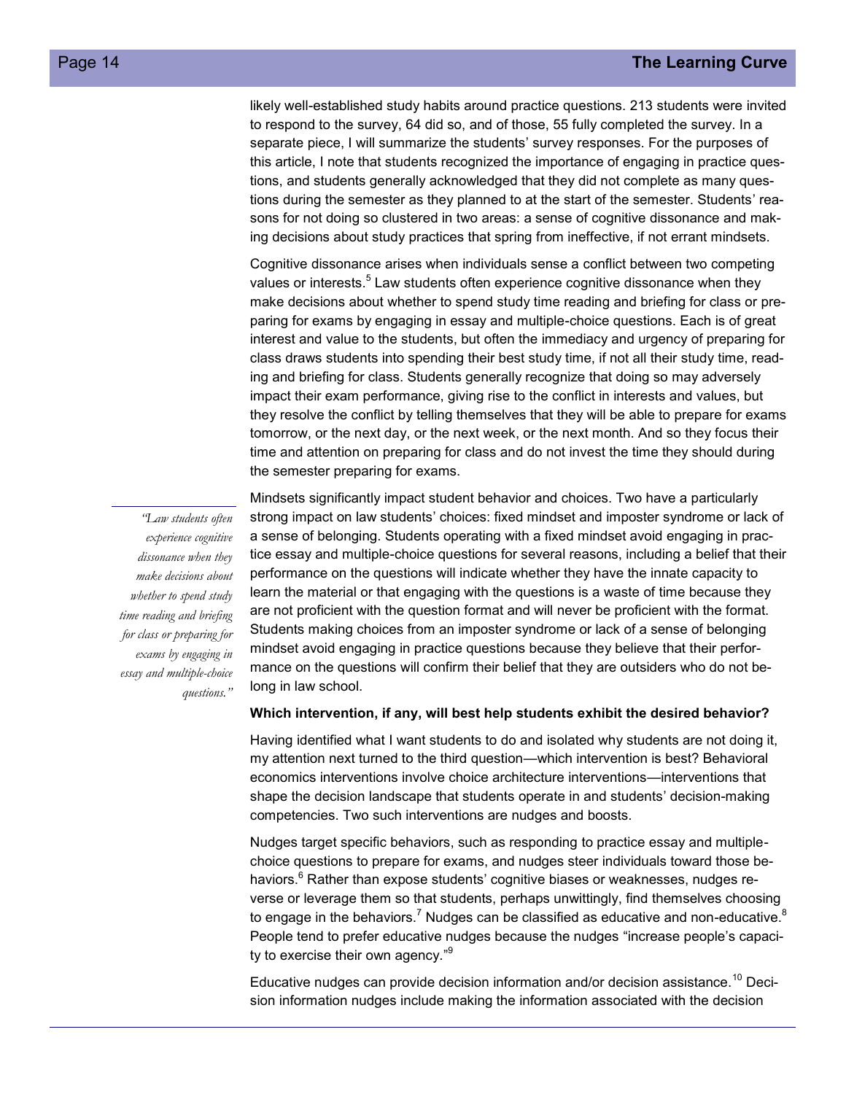likely well-established study habits around practice questions. 213 students were invited to respond to the survey, 64 did so, and of those, 55 fully completed the survey. In a separate piece, I will summarize the students' survey responses. For the purposes of this article, I note that students recognized the importance of engaging in practice questions, and students generally acknowledged that they did not complete as many questions during the semester as they planned to at the start of the semester. Students' reasons for not doing so clustered in two areas: a sense of cognitive dissonance and making decisions about study practices that spring from ineffective, if not errant mindsets.

Cognitive dissonance arises when individuals sense a conflict between two competing values or interests.<sup>5</sup> Law students often experience cognitive dissonance when they make decisions about whether to spend study time reading and briefing for class or preparing for exams by engaging in essay and multiple-choice questions. Each is of great interest and value to the students, but often the immediacy and urgency of preparing for class draws students into spending their best study time, if not all their study time, reading and briefing for class. Students generally recognize that doing so may adversely impact their exam performance, giving rise to the conflict in interests and values, but they resolve the conflict by telling themselves that they will be able to prepare for exams tomorrow, or the next day, or the next week, or the next month. And so they focus their time and attention on preparing for class and do not invest the time they should during the semester preparing for exams.

*"Law students often experience cognitive dissonance when they make decisions about whether to spend study time reading and briefing for class or preparing for exams by engaging in essay and multiple-choice questions."*

Mindsets significantly impact student behavior and choices. Two have a particularly strong impact on law students' choices: fixed mindset and imposter syndrome or lack of a sense of belonging. Students operating with a fixed mindset avoid engaging in practice essay and multiple-choice questions for several reasons, including a belief that their performance on the questions will indicate whether they have the innate capacity to learn the material or that engaging with the questions is a waste of time because they are not proficient with the question format and will never be proficient with the format. Students making choices from an imposter syndrome or lack of a sense of belonging mindset avoid engaging in practice questions because they believe that their performance on the questions will confirm their belief that they are outsiders who do not belong in law school.

#### **Which intervention, if any, will best help students exhibit the desired behavior?**

Having identified what I want students to do and isolated why students are not doing it, my attention next turned to the third question—which intervention is best? Behavioral economics interventions involve choice architecture interventions—interventions that shape the decision landscape that students operate in and students' decision-making competencies. Two such interventions are nudges and boosts.

Nudges target specific behaviors, such as responding to practice essay and multiplechoice questions to prepare for exams, and nudges steer individuals toward those behaviors.<sup>6</sup> Rather than expose students' cognitive biases or weaknesses, nudges reverse or leverage them so that students, perhaps unwittingly, find themselves choosing to engage in the behaviors.<sup>7</sup> Nudges can be classified as educative and non-educative.<sup>8</sup> People tend to prefer educative nudges because the nudges "increase people's capacity to exercise their own agency."<sup>9</sup>

Educative nudges can provide decision information and/or decision assistance.<sup>10</sup> Decision information nudges include making the information associated with the decision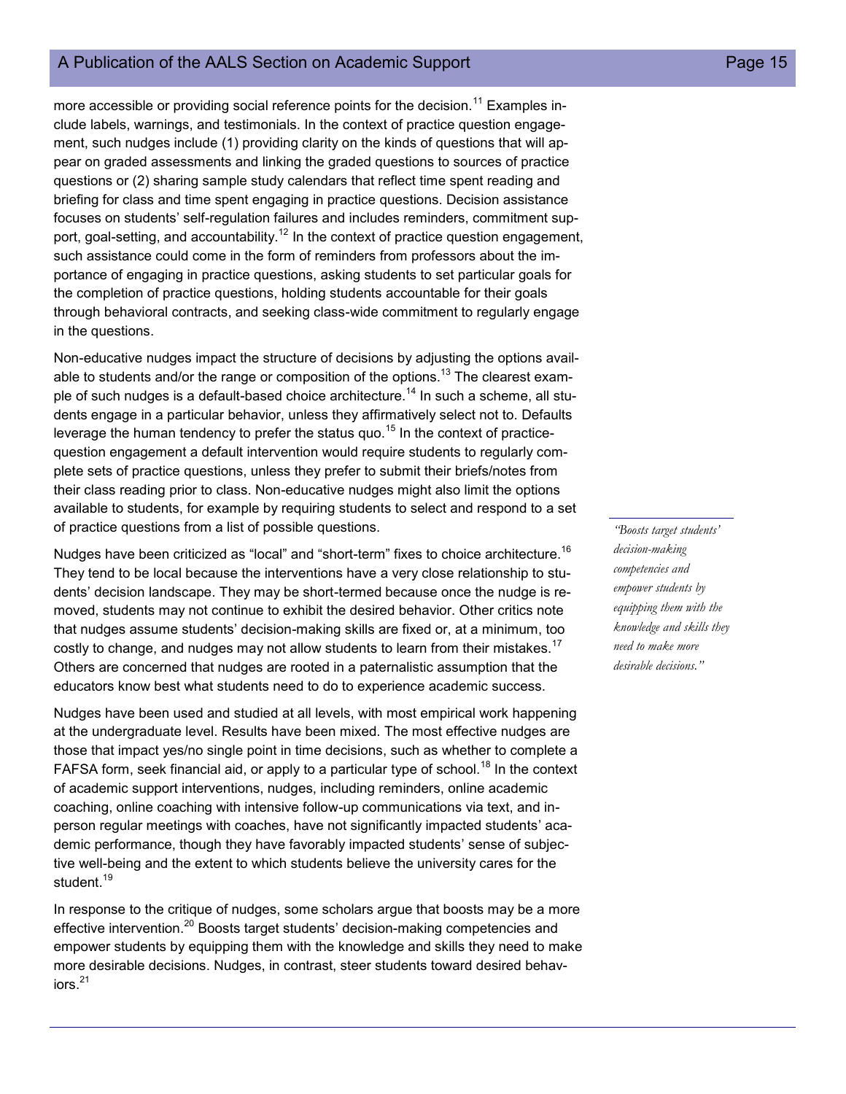## A Publication of the AALS Section on Academic Support **Page 15** Page 15

more accessible or providing social reference points for the decision.<sup>11</sup> Examples include labels, warnings, and testimonials. In the context of practice question engagement, such nudges include (1) providing clarity on the kinds of questions that will appear on graded assessments and linking the graded questions to sources of practice questions or (2) sharing sample study calendars that reflect time spent reading and briefing for class and time spent engaging in practice questions. Decision assistance focuses on students' self-regulation failures and includes reminders, commitment support, goal-setting, and accountability.<sup>12</sup> In the context of practice question engagement, such assistance could come in the form of reminders from professors about the importance of engaging in practice questions, asking students to set particular goals for the completion of practice questions, holding students accountable for their goals through behavioral contracts, and seeking class-wide commitment to regularly engage in the questions.

Non-educative nudges impact the structure of decisions by adjusting the options available to students and/or the range or composition of the options.<sup>13</sup> The clearest example of such nudges is a default-based choice architecture.<sup>14</sup> In such a scheme, all students engage in a particular behavior, unless they affirmatively select not to. Defaults leverage the human tendency to prefer the status quo.<sup>15</sup> In the context of practicequestion engagement a default intervention would require students to regularly complete sets of practice questions, unless they prefer to submit their briefs/notes from their class reading prior to class. Non-educative nudges might also limit the options available to students, for example by requiring students to select and respond to a set of practice questions from a list of possible questions.

Nudges have been criticized as "local" and "short-term" fixes to choice architecture.<sup>16</sup> They tend to be local because the interventions have a very close relationship to students' decision landscape. They may be short-termed because once the nudge is removed, students may not continue to exhibit the desired behavior. Other critics note that nudges assume students' decision-making skills are fixed or, at a minimum, too costly to change, and nudges may not allow students to learn from their mistakes.<sup>17</sup> Others are concerned that nudges are rooted in a paternalistic assumption that the educators know best what students need to do to experience academic success.

Nudges have been used and studied at all levels, with most empirical work happening at the undergraduate level. Results have been mixed. The most effective nudges are those that impact yes/no single point in time decisions, such as whether to complete a FAFSA form, seek financial aid, or apply to a particular type of school.<sup>18</sup> In the context of academic support interventions, nudges, including reminders, online academic coaching, online coaching with intensive follow-up communications via text, and inperson regular meetings with coaches, have not significantly impacted students' academic performance, though they have favorably impacted students' sense of subjective well-being and the extent to which students believe the university cares for the student.<sup>19</sup>

In response to the critique of nudges, some scholars argue that boosts may be a more effective intervention.<sup>20</sup> Boosts target students' decision-making competencies and empower students by equipping them with the knowledge and skills they need to make more desirable decisions. Nudges, in contrast, steer students toward desired behav $i$ ors. $^{21}$ 

*"Boosts target students' decision-making competencies and empower students by equipping them with the knowledge and skills they need to make more desirable decisions."*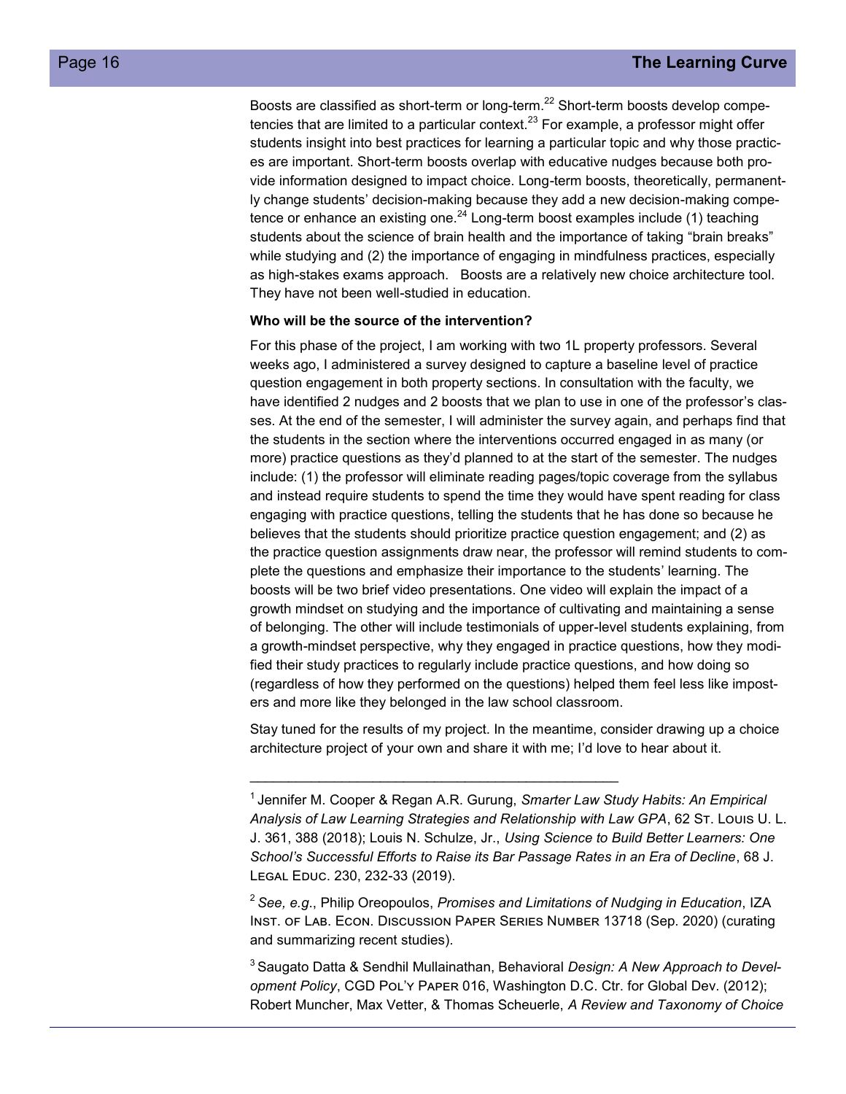Boosts are classified as short-term or long-term.<sup>22</sup> Short-term boosts develop competencies that are limited to a particular context. $^{23}$  For example, a professor might offer students insight into best practices for learning a particular topic and why those practices are important. Short-term boosts overlap with educative nudges because both provide information designed to impact choice. Long-term boosts, theoretically, permanently change students' decision-making because they add a new decision-making competence or enhance an existing one.<sup>24</sup> Long-term boost examples include (1) teaching students about the science of brain health and the importance of taking "brain breaks" while studying and (2) the importance of engaging in mindfulness practices, especially as high-stakes exams approach. Boosts are a relatively new choice architecture tool. They have not been well-studied in education.

#### **Who will be the source of the intervention?**

For this phase of the project, I am working with two 1L property professors. Several weeks ago, I administered a survey designed to capture a baseline level of practice question engagement in both property sections. In consultation with the faculty, we have identified 2 nudges and 2 boosts that we plan to use in one of the professor's classes. At the end of the semester, I will administer the survey again, and perhaps find that the students in the section where the interventions occurred engaged in as many (or more) practice questions as they'd planned to at the start of the semester. The nudges include: (1) the professor will eliminate reading pages/topic coverage from the syllabus and instead require students to spend the time they would have spent reading for class engaging with practice questions, telling the students that he has done so because he believes that the students should prioritize practice question engagement; and (2) as the practice question assignments draw near, the professor will remind students to complete the questions and emphasize their importance to the students' learning. The boosts will be two brief video presentations. One video will explain the impact of a growth mindset on studying and the importance of cultivating and maintaining a sense of belonging. The other will include testimonials of upper-level students explaining, from a growth-mindset perspective, why they engaged in practice questions, how they modified their study practices to regularly include practice questions, and how doing so (regardless of how they performed on the questions) helped them feel less like imposters and more like they belonged in the law school classroom.

Stay tuned for the results of my project. In the meantime, consider drawing up a choice architecture project of your own and share it with me; I'd love to hear about it.

\_\_\_\_\_\_\_\_\_\_\_\_\_\_\_\_\_\_\_\_\_\_\_\_\_\_\_\_\_\_\_\_\_\_\_\_\_\_\_\_\_\_\_\_\_\_\_\_

<sup>2</sup>*See, e.g*., Philip Oreopoulos, *Promises and Limitations of Nudging in Education*, IZA Inst. of Lab. Econ. Discussion Paper Series Number 13718 (Sep. 2020) (curating and summarizing recent studies).

<sup>3</sup>Saugato Datta & Sendhil Mullainathan, Behavioral *Design: A New Approach to Development Policy*, CGD Pol'y Paper 016, Washington D.C. Ctr. for Global Dev. (2012); Robert Muncher, Max Vetter, & Thomas Scheuerle, *A Review and Taxonomy of Choice* 

<sup>1</sup>Jennifer M. Cooper & Regan A.R. Gurung, *Smarter Law Study Habits: An Empirical Analysis of Law Learning Strategies and Relationship with Law GPA*, 62 St. Louis U. L. J. 361, 388 (2018); Louis N. Schulze, Jr., *Using Science to Build Better Learners: One School's Successful Efforts to Raise its Bar Passage Rates in an Era of Decline*, 68 J. Legal Educ. 230, 232-33 (2019).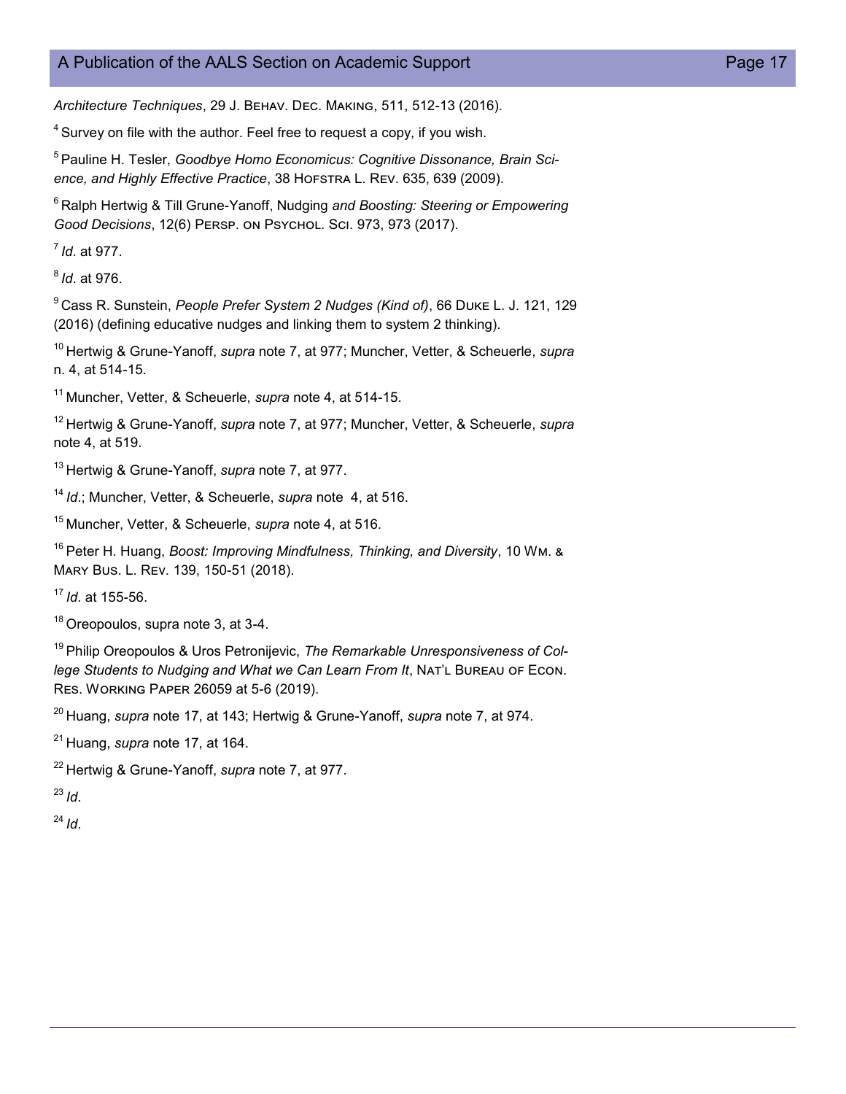## A Publication of the AALS Section on Academic Support **Page 17** Page 17

*Architecture Techniques*, 29 J. Behav. Dec. Making, 511, 512-13 (2016).

 $4$  Survey on file with the author. Feel free to request a copy, if you wish.

<sup>5</sup> Pauline H. Tesler, Goodbye Homo Economicus: Cognitive Dissonance, Brain Sci*ence, and Highly Effective Practice*, 38 Hofstra L. Rev. 635, 639 (2009).

<sup>6</sup> Ralph Hertwig & Till Grune-Yanoff, Nudging and Boosting: Steering or Empowering *Good Decisions*, 12(6) Persp. on Psychol. Sci. 973, 973 (2017).

<sup>7</sup>*Id*. at 977.

<sup>8</sup>*Id*. at 976.

<sup>9</sup>Cass R. Sunstein, *People Prefer System 2 Nudges (Kind of)*, 66 Duke L. J. 121, 129 (2016) (defining educative nudges and linking them to system 2 thinking).

<sup>10</sup> Hertwig & Grune-Yanoff, *supra* note 7, at 977; Muncher, Vetter, & Scheuerle, *supra* n. 4, at 514-15.

<sup>11</sup>Muncher, Vetter, & Scheuerle, *supra* note 4, at 514-15.

<sup>12</sup>Hertwig & Grune-Yanoff, *supra* note 7, at 977; Muncher, Vetter, & Scheuerle, *supra* note 4, at 519.

<sup>13</sup> Hertwig & Grune-Yanoff, *supra* note 7, at 977.

<sup>14</sup>*Id*.; Muncher, Vetter, & Scheuerle, *supra* note 4, at 516.

<sup>15</sup>Muncher, Vetter, & Scheuerle, *supra* note 4, at 516.

<sup>16</sup> Peter H. Huang, *Boost: Improving Mindfulness, Thinking, and Diversity*, 10 Wm. & Mary Bus. L. Rev. 139, 150-51 (2018).

<sup>17</sup>*Id*. at 155-56.

<sup>18</sup> Oreopoulos, supra note 3, at 3-4.

<sup>19</sup> Philip Oreopoulos & Uros Petronijevic, The Remarkable Unresponsiveness of Col*lege Students to Nudging and What we Can Learn From It*, Nat'l Bureau of Econ. Res. Working Paper 26059 at 5-6 (2019).

<sup>20</sup> Huang, *supra* note 17, at 143; Hertwig & Grune-Yanoff, *supra* note 7, at 974.

<sup>21</sup> Huang, *supra* note 17, at 164.

<sup>22</sup> Hertwig & Grune-Yanoff, *supra* note 7, at 977.

<sup>23</sup>*Id*.

 $^{24}$ *Id*.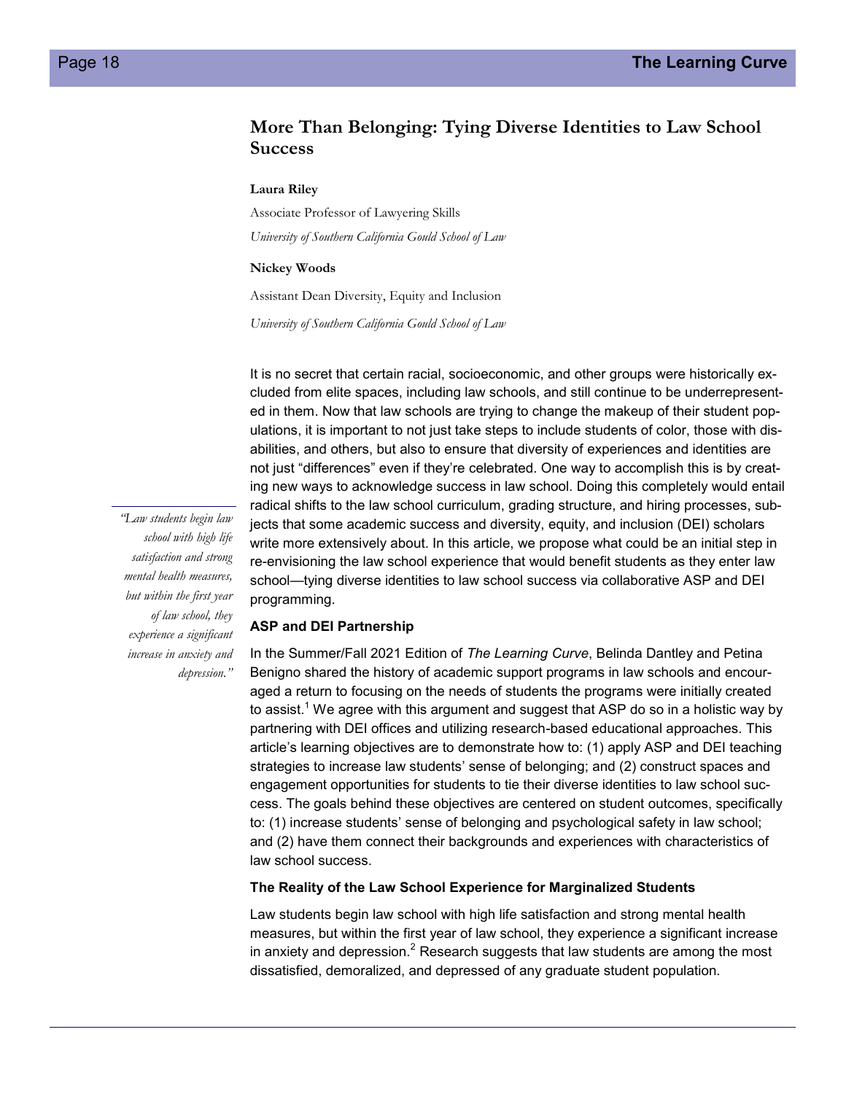## **More Than Belonging: Tying Diverse Identities to Law School Success**

#### **Laura Riley**

Associate Professor of Lawyering Skills *University of Southern California Gould School of Law*

#### **Nickey Woods**

Assistant Dean Diversity, Equity and Inclusion

*University of Southern California Gould School of Law*

It is no secret that certain racial, socioeconomic, and other groups were historically excluded from elite spaces, including law schools, and still continue to be underrepresented in them. Now that law schools are trying to change the makeup of their student populations, it is important to not just take steps to include students of color, those with disabilities, and others, but also to ensure that diversity of experiences and identities are not just "differences" even if they're celebrated. One way to accomplish this is by creating new ways to acknowledge success in law school. Doing this completely would entail radical shifts to the law school curriculum, grading structure, and hiring processes, subjects that some academic success and diversity, equity, and inclusion (DEI) scholars write more extensively about. In this article, we propose what could be an initial step in re-envisioning the law school experience that would benefit students as they enter law school—tying diverse identities to law school success via collaborative ASP and DEI programming.

#### **ASP and DEI Partnership**

In the Summer/Fall 2021 Edition of *The Learning Curve*, Belinda Dantley and Petina Benigno shared the history of academic support programs in law schools and encouraged a return to focusing on the needs of students the programs were initially created to assist.<sup>1</sup> We agree with this argument and suggest that ASP do so in a holistic way by partnering with DEI offices and utilizing research-based educational approaches. This article's learning objectives are to demonstrate how to: (1) apply ASP and DEI teaching strategies to increase law students' sense of belonging; and (2) construct spaces and engagement opportunities for students to tie their diverse identities to law school success. The goals behind these objectives are centered on student outcomes, specifically to: (1) increase students' sense of belonging and psychological safety in law school; and (2) have them connect their backgrounds and experiences with characteristics of law school success.

#### **The Reality of the Law School Experience for Marginalized Students**

Law students begin law school with high life satisfaction and strong mental health measures, but within the first year of law school, they experience a significant increase in anxiety and depression.<sup>2</sup> Research suggests that law students are among the most dissatisfied, demoralized, and depressed of any graduate student population.

*"Law students begin law school with high life satisfaction and strong mental health measures, but within the first year of law school, they experience a significant increase in anxiety and depression."*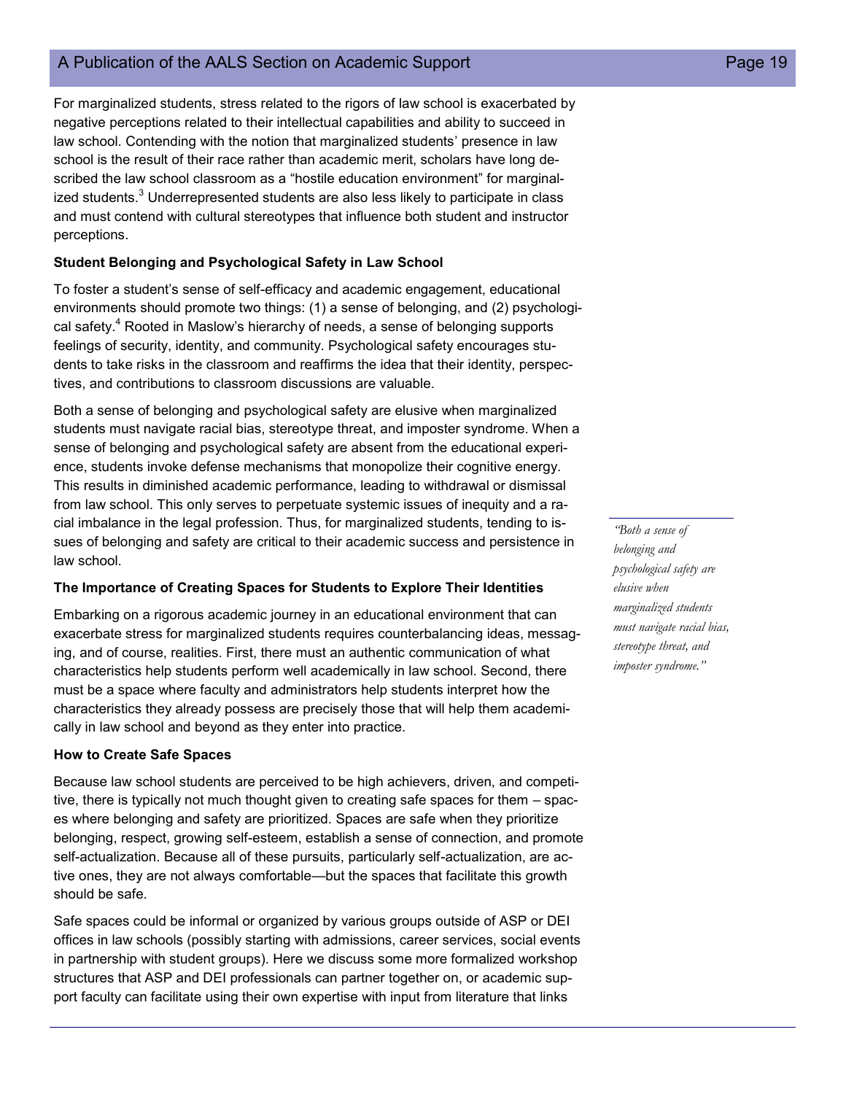## A Publication of the AALS Section on Academic Support **Page 19** Page 19

For marginalized students, stress related to the rigors of law school is exacerbated by negative perceptions related to their intellectual capabilities and ability to succeed in law school. Contending with the notion that marginalized students' presence in law school is the result of their race rather than academic merit, scholars have long described the law school classroom as a "hostile education environment" for marginalized students.<sup>3</sup> Underrepresented students are also less likely to participate in class and must contend with cultural stereotypes that influence both student and instructor perceptions.

#### **Student Belonging and Psychological Safety in Law School**

To foster a student's sense of self-efficacy and academic engagement, educational environments should promote two things: (1) a sense of belonging, and (2) psychological safety.<sup>4</sup> Rooted in Maslow's hierarchy of needs, a sense of belonging supports feelings of security, identity, and community. Psychological safety encourages students to take risks in the classroom and reaffirms the idea that their identity, perspectives, and contributions to classroom discussions are valuable.

Both a sense of belonging and psychological safety are elusive when marginalized students must navigate racial bias, stereotype threat, and imposter syndrome. When a sense of belonging and psychological safety are absent from the educational experience, students invoke defense mechanisms that monopolize their cognitive energy. This results in diminished academic performance, leading to withdrawal or dismissal from law school. This only serves to perpetuate systemic issues of inequity and a racial imbalance in the legal profession. Thus, for marginalized students, tending to issues of belonging and safety are critical to their academic success and persistence in law school.

#### **The Importance of Creating Spaces for Students to Explore Their Identities**

Embarking on a rigorous academic journey in an educational environment that can exacerbate stress for marginalized students requires counterbalancing ideas, messaging, and of course, realities. First, there must an authentic communication of what characteristics help students perform well academically in law school. Second, there must be a space where faculty and administrators help students interpret how the characteristics they already possess are precisely those that will help them academically in law school and beyond as they enter into practice.

#### **How to Create Safe Spaces**

Because law school students are perceived to be high achievers, driven, and competitive, there is typically not much thought given to creating safe spaces for them – spaces where belonging and safety are prioritized. Spaces are safe when they prioritize belonging, respect, growing self-esteem, establish a sense of connection, and promote self-actualization. Because all of these pursuits, particularly self-actualization, are active ones, they are not always comfortable—but the spaces that facilitate this growth should be safe.

Safe spaces could be informal or organized by various groups outside of ASP or DEI offices in law schools (possibly starting with admissions, career services, social events in partnership with student groups). Here we discuss some more formalized workshop structures that ASP and DEI professionals can partner together on, or academic support faculty can facilitate using their own expertise with input from literature that links

*"Both a sense of belonging and psychological safety are elusive when marginalized students must navigate racial bias, stereotype threat, and imposter syndrome."*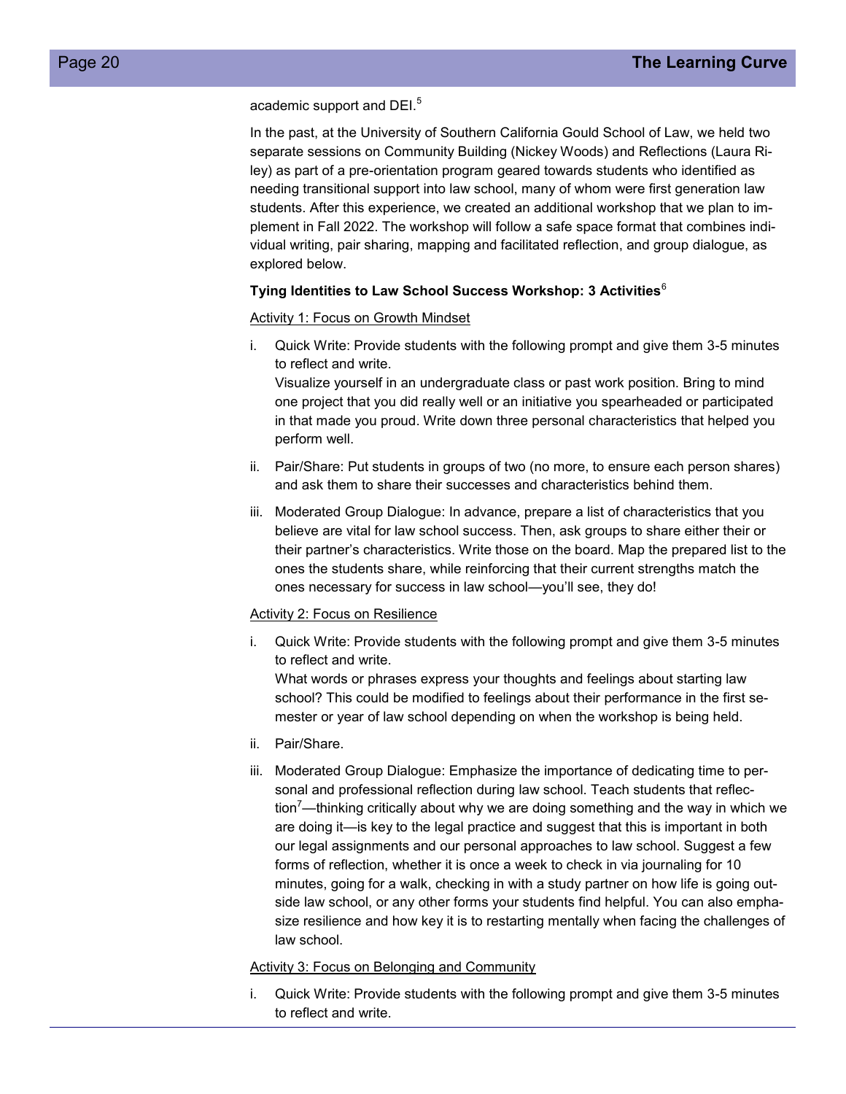academic support and DEI.<sup>5</sup>

In the past, at the University of Southern California Gould School of Law, we held two separate sessions on Community Building (Nickey Woods) and Reflections (Laura Riley) as part of a pre-orientation program geared towards students who identified as needing transitional support into law school, many of whom were first generation law students. After this experience, we created an additional workshop that we plan to implement in Fall 2022. The workshop will follow a safe space format that combines individual writing, pair sharing, mapping and facilitated reflection, and group dialogue, as explored below.

#### **Tying Identities to Law School Success Workshop: 3 Activities**<sup>6</sup>

#### Activity 1: Focus on Growth Mindset

i. Quick Write: Provide students with the following prompt and give them 3-5 minutes to reflect and write.

Visualize yourself in an undergraduate class or past work position. Bring to mind one project that you did really well or an initiative you spearheaded or participated in that made you proud. Write down three personal characteristics that helped you perform well.

- ii. Pair/Share: Put students in groups of two (no more, to ensure each person shares) and ask them to share their successes and characteristics behind them.
- iii. Moderated Group Dialogue: In advance, prepare a list of characteristics that you believe are vital for law school success. Then, ask groups to share either their or their partner's characteristics. Write those on the board. Map the prepared list to the ones the students share, while reinforcing that their current strengths match the ones necessary for success in law school—you'll see, they do!

#### Activity 2: Focus on Resilience

i. Quick Write: Provide students with the following prompt and give them 3-5 minutes to reflect and write.

What words or phrases express your thoughts and feelings about starting law school? This could be modified to feelings about their performance in the first semester or year of law school depending on when the workshop is being held.

- ii. Pair/Share.
- iii. Moderated Group Dialogue: Emphasize the importance of dedicating time to personal and professional reflection during law school. Teach students that reflection<sup>'</sup>—thinking critically about why we are doing something and the way in which we are doing it—is key to the legal practice and suggest that this is important in both our legal assignments and our personal approaches to law school. Suggest a few forms of reflection, whether it is once a week to check in via journaling for 10 minutes, going for a walk, checking in with a study partner on how life is going outside law school, or any other forms your students find helpful. You can also emphasize resilience and how key it is to restarting mentally when facing the challenges of law school.

#### **Activity 3: Focus on Belonging and Community**

i. Quick Write: Provide students with the following prompt and give them 3-5 minutes to reflect and write.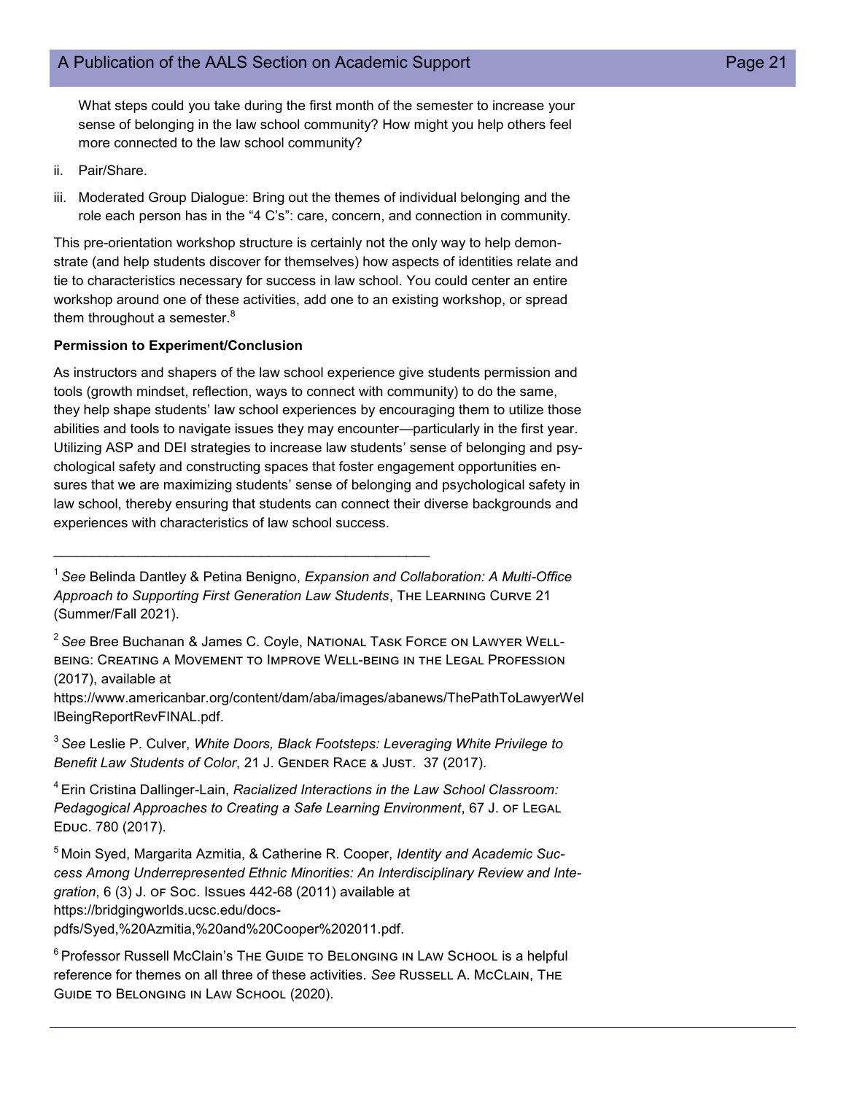What steps could you take during the first month of the semester to increase your sense of belonging in the law school community? How might you help others feel more connected to the law school community?

- ii. Pair/Share.
- iii. Moderated Group Dialogue: Bring out the themes of individual belonging and the role each person has in the "4 C's": care, concern, and connection in community.

This pre-orientation workshop structure is certainly not the only way to help demonstrate (and help students discover for themselves) how aspects of identities relate and tie to characteristics necessary for success in law school. You could center an entire workshop around one of these activities, add one to an existing workshop, or spread them throughout a semester. $8$ 

#### **Permission to Experiment/Conclusion**

As instructors and shapers of the law school experience give students permission and tools (growth mindset, reflection, ways to connect with community) to do the same, they help shape students' law school experiences by encouraging them to utilize those abilities and tools to navigate issues they may encounter—particularly in the first year. Utilizing ASP and DEI strategies to increase law students' sense of belonging and psychological safety and constructing spaces that foster engagement opportunities ensures that we are maximizing students' sense of belonging and psychological safety in law school, thereby ensuring that students can connect their diverse backgrounds and experiences with characteristics of law school success.

 $\mathcal{L}_\text{max}$  and  $\mathcal{L}_\text{max}$  and  $\mathcal{L}_\text{max}$  and  $\mathcal{L}_\text{max}$  and  $\mathcal{L}_\text{max}$ 

<sup>2</sup>*See* Bree Buchanan & James C. Coyle, National Task Force on Lawyer Wellbeing: Creating a Movement to Improve Well-being in the Legal Profession (2017), available at

https://www.americanbar.org/content/dam/aba/images/abanews/ThePathToLawyerWel lBeingReportRevFINAL.pdf.

<sup>3</sup>*See* Leslie P. Culver, *White Doors, Black Footsteps: Leveraging White Privilege to Benefit Law Students of Color*, 21 J. Gender Race & Just. 37 (2017).

<sup>4</sup>Erin Cristina Dallinger-Lain, *Racialized Interactions in the Law School Classroom: Pedagogical Approaches to Creating a Safe Learning Environment*, 67 J. of Legal Educ. 780 (2017).

<sup>1</sup>*See* Belinda Dantley & Petina Benigno, *Expansion and Collaboration: A Multi-Office Approach to Supporting First Generation Law Students*, The Learning Curve 21 (Summer/Fall 2021).

<sup>5</sup>Moin Syed, Margarita Azmitia, & Catherine R. Cooper, *Identity and Academic Success Among Underrepresented Ethnic Minorities: An Interdisciplinary Review and Integration*, 6 (3) J. of Soc. Issues 442-68 (2011) available at https://bridgingworlds.ucsc.edu/docspdfs/Syed,%20Azmitia,%20and%20Cooper%202011.pdf.

 $6$ Professor Russell McClain's The Guide to Belonging in Law School is a helpful reference for themes on all three of these activities. *See* Russell A. McClain, The Guide to Belonging in Law School (2020).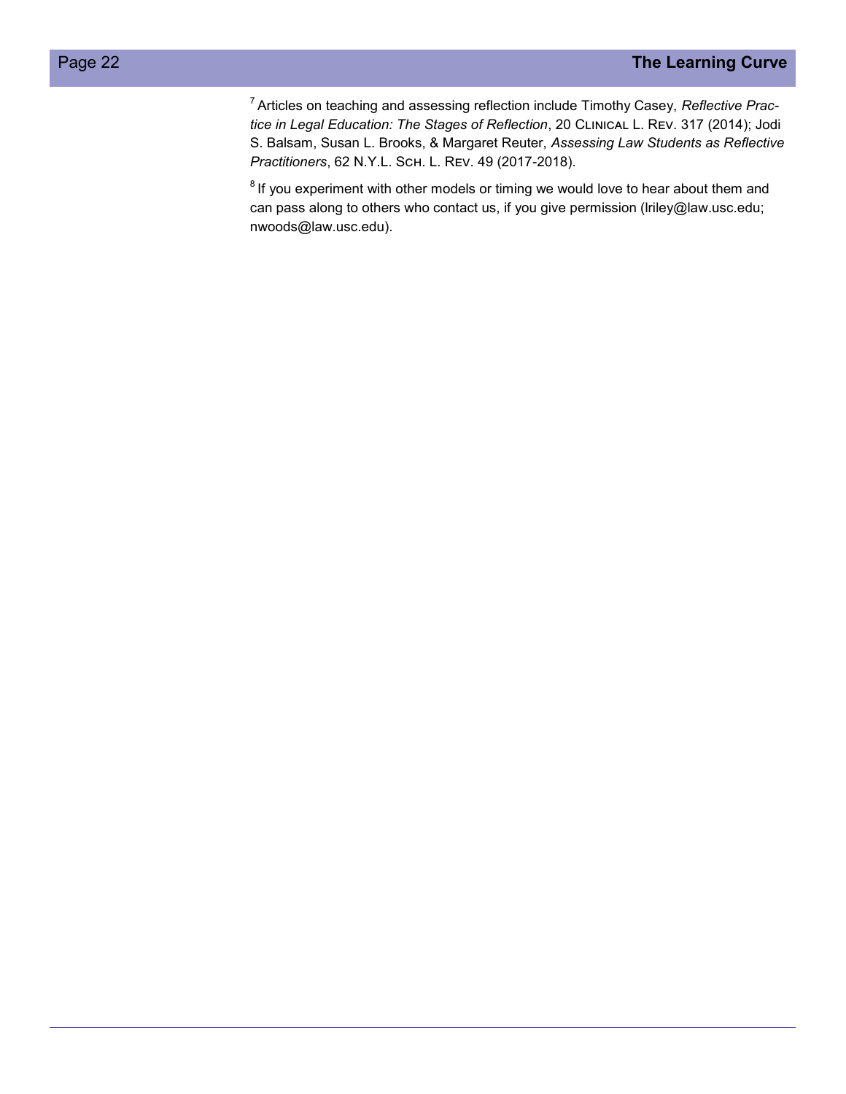<sup>7</sup>Articles on teaching and assessing reflection include Timothy Casey, *Reflective Practice in Legal Education: The Stages of Reflection*, 20 Clinical L. Rev. 317 (2014); Jodi S. Balsam, Susan L. Brooks, & Margaret Reuter, *Assessing Law Students as Reflective Practitioners*, 62 N.Y.L. Sch. L. Rev. 49 (2017-2018).

 $8$  If you experiment with other models or timing we would love to hear about them and can pass along to others who contact us, if you give permission (lriley@law.usc.edu; nwoods@law.usc.edu).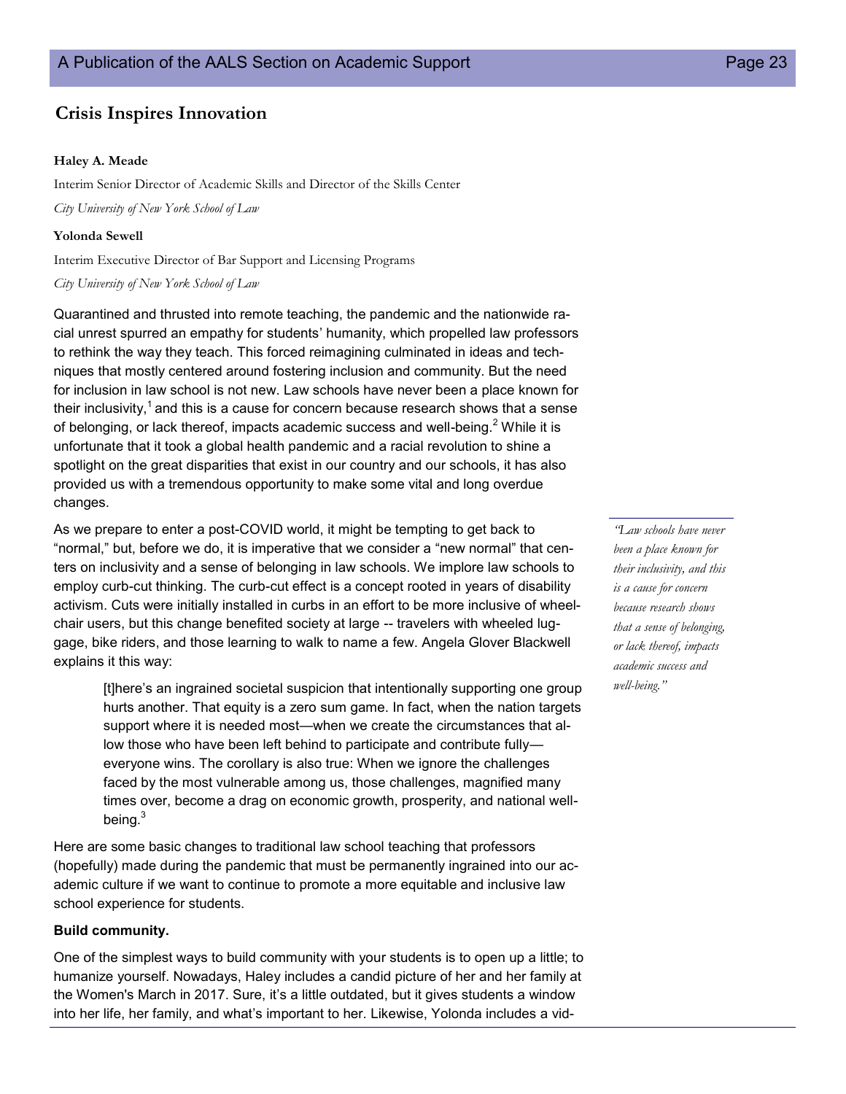## **Crisis Inspires Innovation**

#### **Haley A. Meade**

Interim Senior Director of Academic Skills and Director of the Skills Center *City University of New York School of Law*

#### **Yolonda Sewell**

Interim Executive Director of Bar Support and Licensing Programs

#### *City University of New York School of Law*

Quarantined and thrusted into remote teaching, the pandemic and the nationwide racial unrest spurred an empathy for students' humanity, which propelled law professors to rethink the way they teach. This forced reimagining culminated in ideas and techniques that mostly centered around fostering inclusion and community. But the need for inclusion in law school is not new. Law schools have never been a place known for their inclusivity, $1$  and this is a cause for concern because research shows that a sense of belonging, or lack thereof, impacts academic success and well-being.<sup>2</sup> While it is unfortunate that it took a global health pandemic and a racial revolution to shine a spotlight on the great disparities that exist in our country and our schools, it has also provided us with a tremendous opportunity to make some vital and long overdue changes.

As we prepare to enter a post-COVID world, it might be tempting to get back to "normal," but, before we do, it is imperative that we consider a "new normal" that centers on inclusivity and a sense of belonging in law schools. We implore law schools to employ curb-cut thinking. The curb-cut effect is a concept rooted in years of disability activism. Cuts were initially installed in curbs in an effort to be more inclusive of wheelchair users, but this change benefited society at large -- travelers with wheeled luggage, bike riders, and those learning to walk to name a few. Angela Glover Blackwell explains it this way:

[t]here's an ingrained societal suspicion that intentionally supporting one group hurts another. That equity is a zero sum game. In fact, when the nation targets support where it is needed most—when we create the circumstances that allow those who have been left behind to participate and contribute fully everyone wins. The corollary is also true: When we ignore the challenges faced by the most vulnerable among us, those challenges, magnified many times over, become a drag on economic growth, prosperity, and national wellbeing.<sup>3</sup>

Here are some basic changes to traditional law school teaching that professors (hopefully) made during the pandemic that must be permanently ingrained into our academic culture if we want to continue to promote a more equitable and inclusive law school experience for students.

#### **Build community.**

One of the simplest ways to build community with your students is to open up a little; to humanize yourself. Nowadays, Haley includes a candid picture of her and her family at the Women's March in 2017. Sure, it's a little outdated, but it gives students a window into her life, her family, and what's important to her. Likewise, Yolonda includes a vid-

*"Law schools have never been a place known for their inclusivity, and this is a cause for concern because research shows that a sense of belonging, or lack thereof, impacts academic success and well-being."*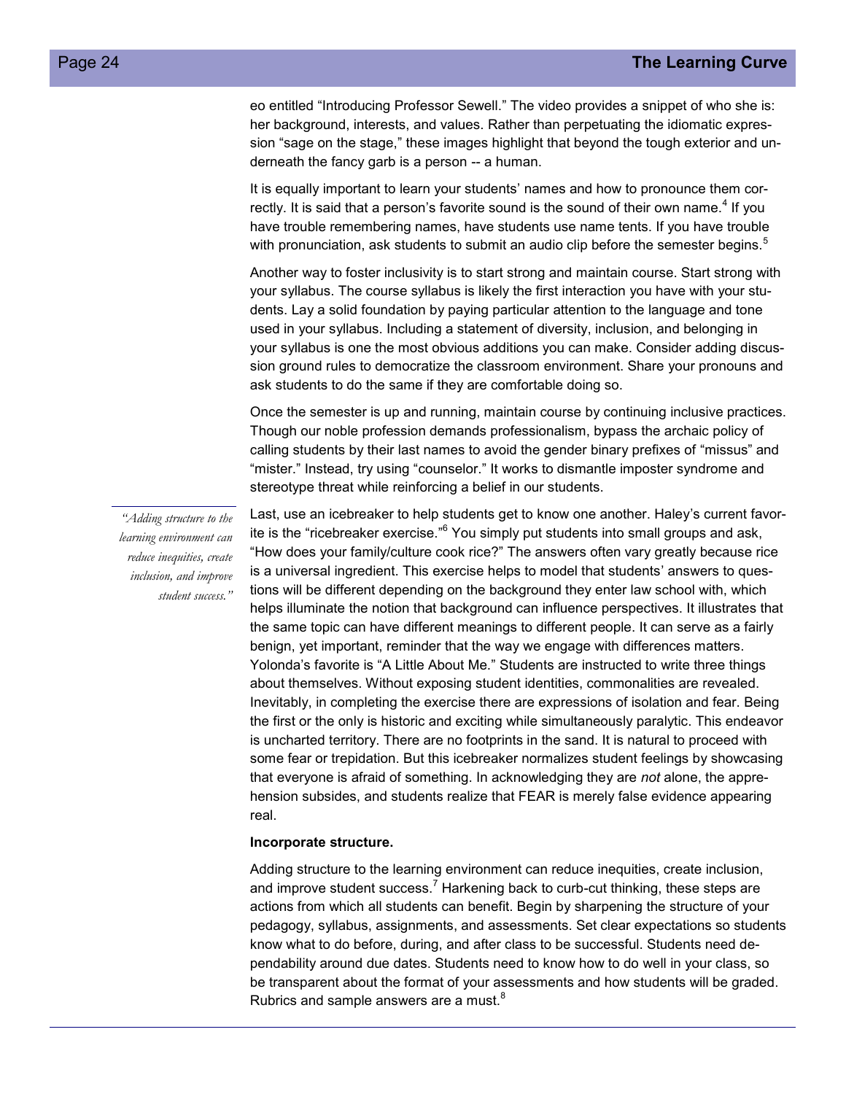eo entitled "Introducing Professor Sewell." The video provides a snippet of who she is: her background, interests, and values. Rather than perpetuating the idiomatic expression "sage on the stage," these images highlight that beyond the tough exterior and underneath the fancy garb is a person -- a human.

It is equally important to learn your students' names and how to pronounce them correctly. It is said that a person's favorite sound is the sound of their own name. $^4$  If you have trouble remembering names, have students use name tents. If you have trouble with pronunciation, ask students to submit an audio clip before the semester begins.<sup>5</sup>

Another way to foster inclusivity is to start strong and maintain course. Start strong with your syllabus. The course syllabus is likely the first interaction you have with your students. Lay a solid foundation by paying particular attention to the language and tone used in your syllabus. Including a statement of diversity, inclusion, and belonging in your syllabus is one the most obvious additions you can make. Consider adding discussion ground rules to democratize the classroom environment. Share your pronouns and ask students to do the same if they are comfortable doing so.

Once the semester is up and running, maintain course by continuing inclusive practices. Though our noble profession demands professionalism, bypass the archaic policy of calling students by their last names to avoid the gender binary prefixes of "missus" and "mister." Instead, try using "counselor." It works to dismantle imposter syndrome and stereotype threat while reinforcing a belief in our students.

*"Adding structure to the learning environment can reduce inequities, create inclusion, and improve student success."*

Last, use an icebreaker to help students get to know one another. Haley's current favorite is the "ricebreaker exercise."<sup>6</sup> You simply put students into small groups and ask, "How does your family/culture cook rice?" The answers often vary greatly because rice is a universal ingredient. This exercise helps to model that students' answers to questions will be different depending on the background they enter law school with, which helps illuminate the notion that background can influence perspectives. It illustrates that the same topic can have different meanings to different people. It can serve as a fairly benign, yet important, reminder that the way we engage with differences matters. Yolonda's favorite is "A Little About Me." Students are instructed to write three things about themselves. Without exposing student identities, commonalities are revealed. Inevitably, in completing the exercise there are expressions of isolation and fear. Being the first or the only is historic and exciting while simultaneously paralytic. This endeavor is uncharted territory. There are no footprints in the sand. It is natural to proceed with some fear or trepidation. But this icebreaker normalizes student feelings by showcasing that everyone is afraid of something. In acknowledging they are *not* alone, the apprehension subsides, and students realize that FEAR is merely false evidence appearing real.

#### **Incorporate structure.**

Adding structure to the learning environment can reduce inequities, create inclusion, and improve student success.<sup>7</sup> Harkening back to curb-cut thinking, these steps are actions from which all students can benefit. Begin by sharpening the structure of your pedagogy, syllabus, assignments, and assessments. Set clear expectations so students know what to do before, during, and after class to be successful. Students need dependability around due dates. Students need to know how to do well in your class, so be transparent about the format of your assessments and how students will be graded. Rubrics and sample answers are a must.<sup>8</sup>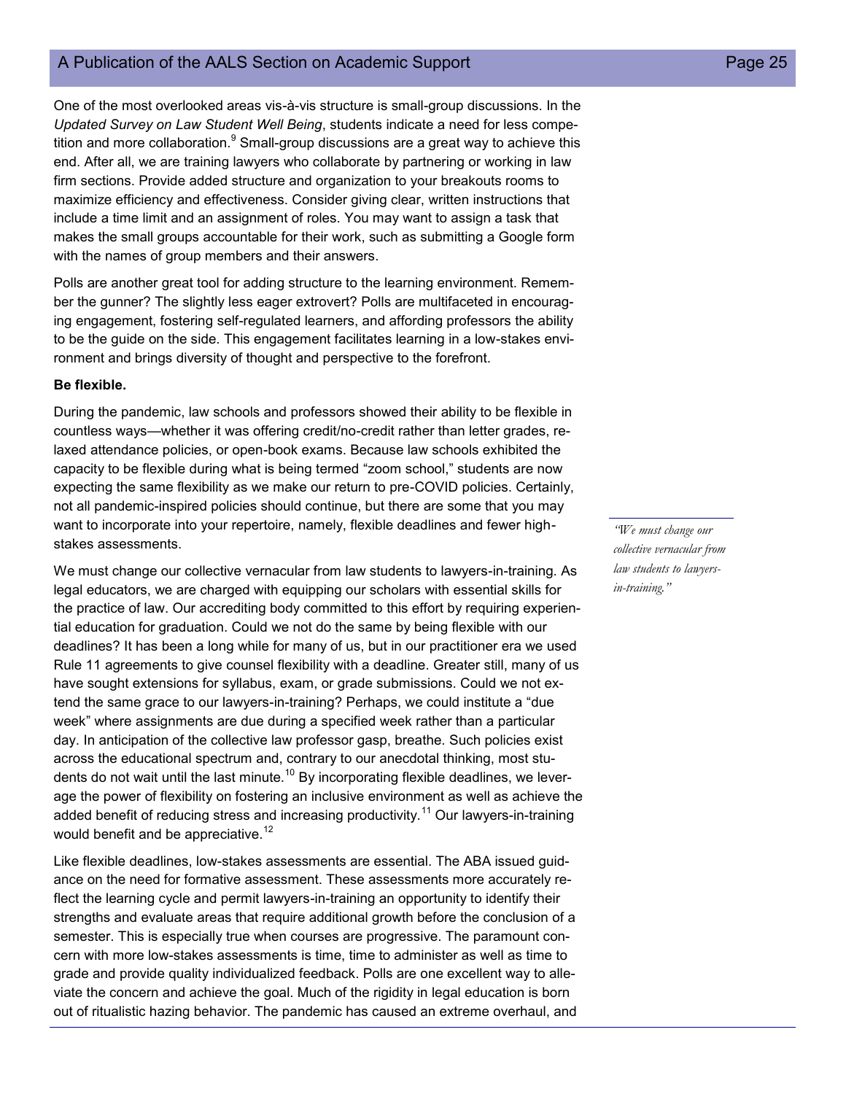One of the most overlooked areas vis-à-vis structure is small-group discussions. In the *Updated Survey on Law Student Well Being*, students indicate a need for less competition and more collaboration. $9$  Small-group discussions are a great way to achieve this end. After all, we are training lawyers who collaborate by partnering or working in law firm sections. Provide added structure and organization to your breakouts rooms to maximize efficiency and effectiveness. Consider giving clear, written instructions that include a time limit and an assignment of roles. You may want to assign a task that makes the small groups accountable for their work, such as submitting a Google form with the names of group members and their answers.

Polls are another great tool for adding structure to the learning environment. Remember the gunner? The slightly less eager extrovert? Polls are multifaceted in encouraging engagement, fostering self-regulated learners, and affording professors the ability to be the guide on the side. This engagement facilitates learning in a low-stakes environment and brings diversity of thought and perspective to the forefront.

#### **Be flexible.**

During the pandemic, law schools and professors showed their ability to be flexible in countless ways—whether it was offering credit/no-credit rather than letter grades, relaxed attendance policies, or open-book exams. Because law schools exhibited the capacity to be flexible during what is being termed "zoom school," students are now expecting the same flexibility as we make our return to pre-COVID policies. Certainly, not all pandemic-inspired policies should continue, but there are some that you may want to incorporate into your repertoire, namely, flexible deadlines and fewer highstakes assessments.

We must change our collective vernacular from law students to lawyers-in-training. As legal educators, we are charged with equipping our scholars with essential skills for the practice of law. Our accrediting body committed to this effort by requiring experiential education for graduation. Could we not do the same by being flexible with our deadlines? It has been a long while for many of us, but in our practitioner era we used Rule 11 agreements to give counsel flexibility with a deadline. Greater still, many of us have sought extensions for syllabus, exam, or grade submissions. Could we not extend the same grace to our lawyers-in-training? Perhaps, we could institute a "due week" where assignments are due during a specified week rather than a particular day. In anticipation of the collective law professor gasp, breathe. Such policies exist across the educational spectrum and, contrary to our anecdotal thinking, most students do not wait until the last minute.<sup>10</sup> By incorporating flexible deadlines, we leverage the power of flexibility on fostering an inclusive environment as well as achieve the added benefit of reducing stress and increasing productivity.<sup>11</sup> Our lawyers-in-training would benefit and be appreciative.<sup>12</sup>

Like flexible deadlines, low-stakes assessments are essential. The ABA issued guidance on the need for formative assessment. These assessments more accurately reflect the learning cycle and permit lawyers-in-training an opportunity to identify their strengths and evaluate areas that require additional growth before the conclusion of a semester. This is especially true when courses are progressive. The paramount concern with more low-stakes assessments is time, time to administer as well as time to grade and provide quality individualized feedback. Polls are one excellent way to alleviate the concern and achieve the goal. Much of the rigidity in legal education is born out of ritualistic hazing behavior. The pandemic has caused an extreme overhaul, and

*"We must change our collective vernacular from law students to lawyersin-training."*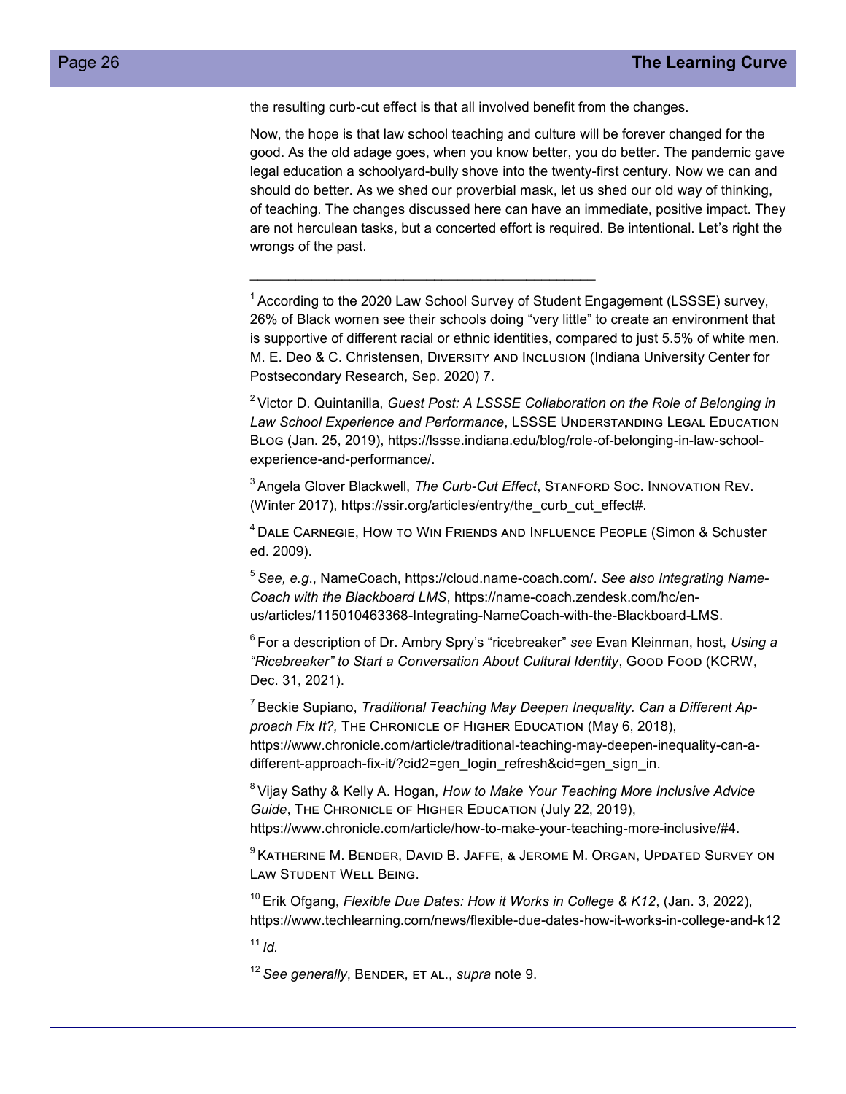the resulting curb-cut effect is that all involved benefit from the changes.

Now, the hope is that law school teaching and culture will be forever changed for the good. As the old adage goes, when you know better, you do better. The pandemic gave legal education a schoolyard-bully shove into the twenty-first century. Now we can and should do better. As we shed our proverbial mask, let us shed our old way of thinking, of teaching. The changes discussed here can have an immediate, positive impact. They are not herculean tasks, but a concerted effort is required. Be intentional. Let's right the wrongs of the past.

<sup>1</sup> According to the 2020 Law School Survey of Student Engagement (LSSSE) survey, 26% of Black women see their schools doing "very little" to create an environment that is supportive of different racial or ethnic identities, compared to just 5.5% of white men. M. E. Deo & C. Christensen, Diversity and Inclusion (Indiana University Center for Postsecondary Research, Sep. 2020) 7.

<sup>2</sup>Victor D. Quintanilla, *Guest Post: A LSSSE Collaboration on the Role of Belonging in*  Law School Experience and Performance, LSSSE UNDERSTANDING LEGAL EDUCATION Blog (Jan. 25, 2019), https://lssse.indiana.edu/blog/role-of-belonging-in-law-schoolexperience-and-performance/.

<sup>3</sup>Angela Glover Blackwell, *The Curb-Cut Effect*, Stanford Soc. Innovation Rev. (Winter 2017), https://ssir.org/articles/entry/the\_curb\_cut\_effect#.

<sup>4</sup> DALE CARNEGIE, HOW TO WIN FRIENDS AND INFLUENCE PEOPLE (Simon & Schuster ed. 2009).

<sup>5</sup>*See, e.g*., NameCoach, https://cloud.name-coach.com/. *See also Integrating Name-Coach with the Blackboard LMS*, https://name-coach.zendesk.com/hc/enus/articles/115010463368-Integrating-NameCoach-with-the-Blackboard-LMS.

<sup>6</sup>For a description of Dr. Ambry Spry's "ricebreaker" *see* Evan Kleinman, host, *Using a "Ricebreaker" to Start a Conversation About Cultural Identity*, Good Food (KCRW, Dec. 31, 2021).

<sup>7</sup> Beckie Supiano, Traditional Teaching May Deepen Inequality. Can a Different Ap*proach Fix It?,* The Chronicle of Higher Education (May 6, 2018), https://www.chronicle.com/article/traditional-teaching-may-deepen-inequality-can-adifferent-approach-fix-it/?cid2=gen\_login\_refresh&cid=gen\_sign\_in.

<sup>8</sup>Vijay Sathy & Kelly A. Hogan, *How to Make Your Teaching More Inclusive Advice Guide*, The Chronicle of Higher Education (July 22, 2019), https://www.chronicle.com/article/how-to-make-your-teaching-more-inclusive/#4.

<sup>9</sup> Katherine M. Bender, David B. Jaffe, & Jerome M. Organ, Updated Survey on Law Student Well Being.

<sup>10</sup> Erik Ofgang, *Flexible Due Dates: How it Works in College & K12*, (Jan. 3, 2022), https://www.techlearning.com/news/flexible-due-dates-how-it-works-in-college-and-k12

 $11/d$ .

<sup>12</sup> See generally, BENDER, ET AL., *supra* note 9.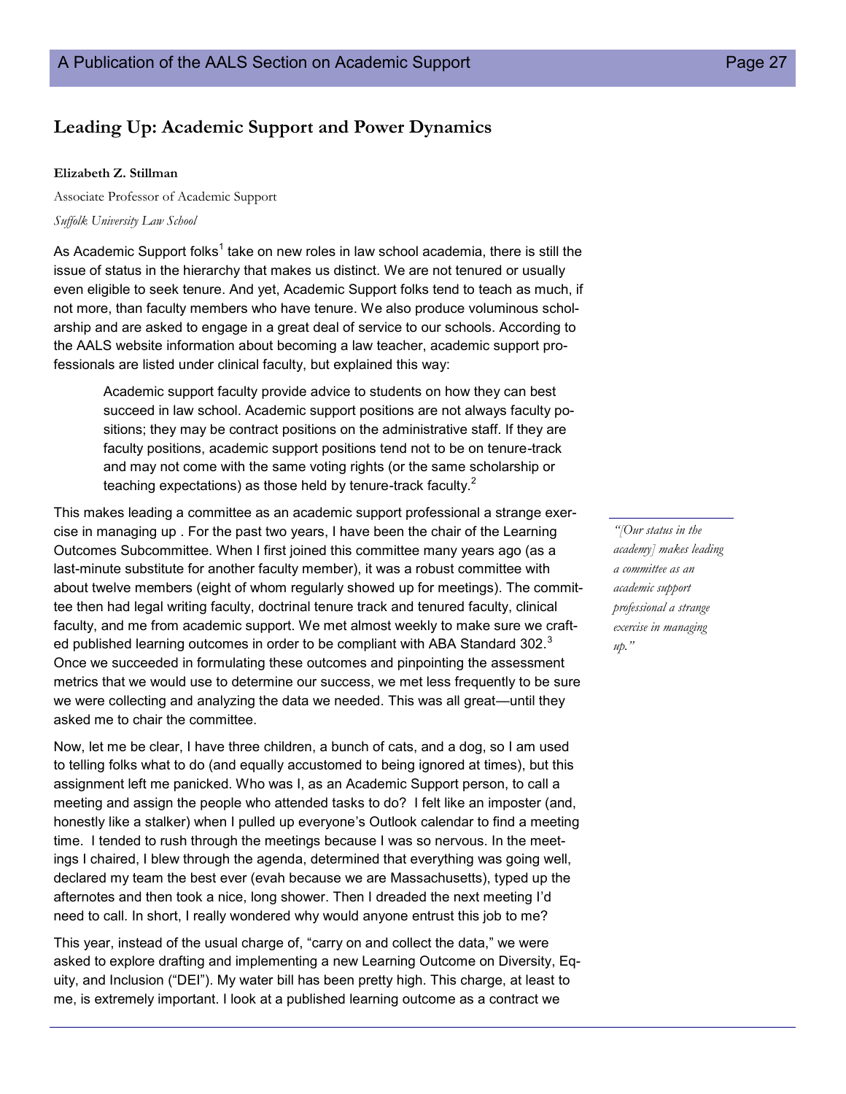## **Leading Up: Academic Support and Power Dynamics**

#### **Elizabeth Z. Stillman**

Associate Professor of Academic Support *Suffolk University Law School*

As Academic Support folks $^1$  take on new roles in law school academia, there is still the issue of status in the hierarchy that makes us distinct. We are not tenured or usually even eligible to seek tenure. And yet, Academic Support folks tend to teach as much, if not more, than faculty members who have tenure. We also produce voluminous scholarship and are asked to engage in a great deal of service to our schools. According to the AALS website information about becoming a law teacher, academic support professionals are listed under clinical faculty, but explained this way:

Academic support faculty provide advice to students on how they can best succeed in law school. Academic support positions are not always faculty positions; they may be contract positions on the administrative staff. If they are faculty positions, academic support positions tend not to be on tenure-track and may not come with the same voting rights (or the same scholarship or teaching expectations) as those held by tenure-track faculty.<sup>2</sup>

This makes leading a committee as an academic support professional a strange exercise in managing up . For the past two years, I have been the chair of the Learning Outcomes Subcommittee. When I first joined this committee many years ago (as a last-minute substitute for another faculty member), it was a robust committee with about twelve members (eight of whom regularly showed up for meetings). The committee then had legal writing faculty, doctrinal tenure track and tenured faculty, clinical faculty, and me from academic support. We met almost weekly to make sure we crafted published learning outcomes in order to be compliant with ABA Standard  $302.^3$ Once we succeeded in formulating these outcomes and pinpointing the assessment metrics that we would use to determine our success, we met less frequently to be sure we were collecting and analyzing the data we needed. This was all great—until they asked me to chair the committee.

Now, let me be clear, I have three children, a bunch of cats, and a dog, so I am used to telling folks what to do (and equally accustomed to being ignored at times), but this assignment left me panicked. Who was I, as an Academic Support person, to call a meeting and assign the people who attended tasks to do? I felt like an imposter (and, honestly like a stalker) when I pulled up everyone's Outlook calendar to find a meeting time. I tended to rush through the meetings because I was so nervous. In the meetings I chaired, I blew through the agenda, determined that everything was going well, declared my team the best ever (evah because we are Massachusetts), typed up the afternotes and then took a nice, long shower. Then I dreaded the next meeting I'd need to call. In short, I really wondered why would anyone entrust this job to me?

This year, instead of the usual charge of, "carry on and collect the data," we were asked to explore drafting and implementing a new Learning Outcome on Diversity, Equity, and Inclusion ("DEI"). My water bill has been pretty high. This charge, at least to me, is extremely important. I look at a published learning outcome as a contract we

*"[Our status in the academy] makes leading a committee as an academic support professional a strange exercise in managing up."*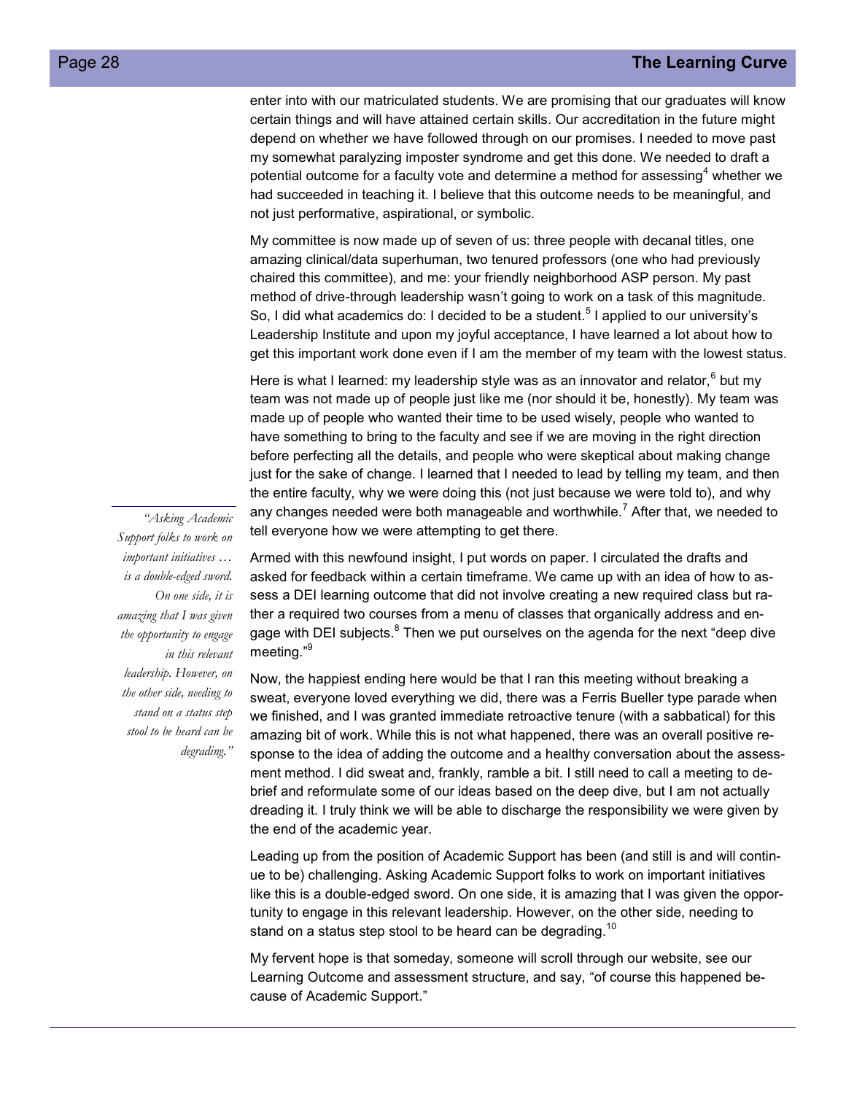enter into with our matriculated students. We are promising that our graduates will know certain things and will have attained certain skills. Our accreditation in the future might depend on whether we have followed through on our promises. I needed to move past my somewhat paralyzing imposter syndrome and get this done. We needed to draft a potential outcome for a faculty vote and determine a method for assessing<sup>4</sup> whether we had succeeded in teaching it. I believe that this outcome needs to be meaningful, and not just performative, aspirational, or symbolic.

My committee is now made up of seven of us: three people with decanal titles, one amazing clinical/data superhuman, two tenured professors (one who had previously chaired this committee), and me: your friendly neighborhood ASP person. My past method of drive-through leadership wasn't going to work on a task of this magnitude. So, I did what academics do: I decided to be a student.<sup>5</sup> I applied to our university's Leadership Institute and upon my joyful acceptance, I have learned a lot about how to get this important work done even if I am the member of my team with the lowest status.

Here is what I learned: my leadership style was as an innovator and relator, $^6$  but my team was not made up of people just like me (nor should it be, honestly). My team was made up of people who wanted their time to be used wisely, people who wanted to have something to bring to the faculty and see if we are moving in the right direction before perfecting all the details, and people who were skeptical about making change just for the sake of change. I learned that I needed to lead by telling my team, and then the entire faculty, why we were doing this (not just because we were told to), and why any changes needed were both manageable and worthwhile.<sup>7</sup> After that, we needed to tell everyone how we were attempting to get there.

*"Asking Academic Support folks to work on important initiatives … is a double-edged sword. On one side, it is amazing that I was given the opportunity to engage in this relevant leadership. However, on the other side, needing to stand on a status step stool to be heard can be degrading."*

Armed with this newfound insight, I put words on paper. I circulated the drafts and asked for feedback within a certain timeframe. We came up with an idea of how to assess a DEI learning outcome that did not involve creating a new required class but rather a required two courses from a menu of classes that organically address and engage with DEI subjects. $^8$  Then we put ourselves on the agenda for the next "deep dive meeting."<sup>9</sup>

Now, the happiest ending here would be that I ran this meeting without breaking a sweat, everyone loved everything we did, there was a Ferris Bueller type parade when we finished, and I was granted immediate retroactive tenure (with a sabbatical) for this amazing bit of work. While this is not what happened, there was an overall positive response to the idea of adding the outcome and a healthy conversation about the assessment method. I did sweat and, frankly, ramble a bit. I still need to call a meeting to debrief and reformulate some of our ideas based on the deep dive, but I am not actually dreading it. I truly think we will be able to discharge the responsibility we were given by the end of the academic year.

Leading up from the position of Academic Support has been (and still is and will continue to be) challenging. Asking Academic Support folks to work on important initiatives like this is a double-edged sword. On one side, it is amazing that I was given the opportunity to engage in this relevant leadership. However, on the other side, needing to stand on a status step stool to be heard can be degrading.<sup>10</sup>

My fervent hope is that someday, someone will scroll through our website, see our Learning Outcome and assessment structure, and say, "of course this happened because of Academic Support."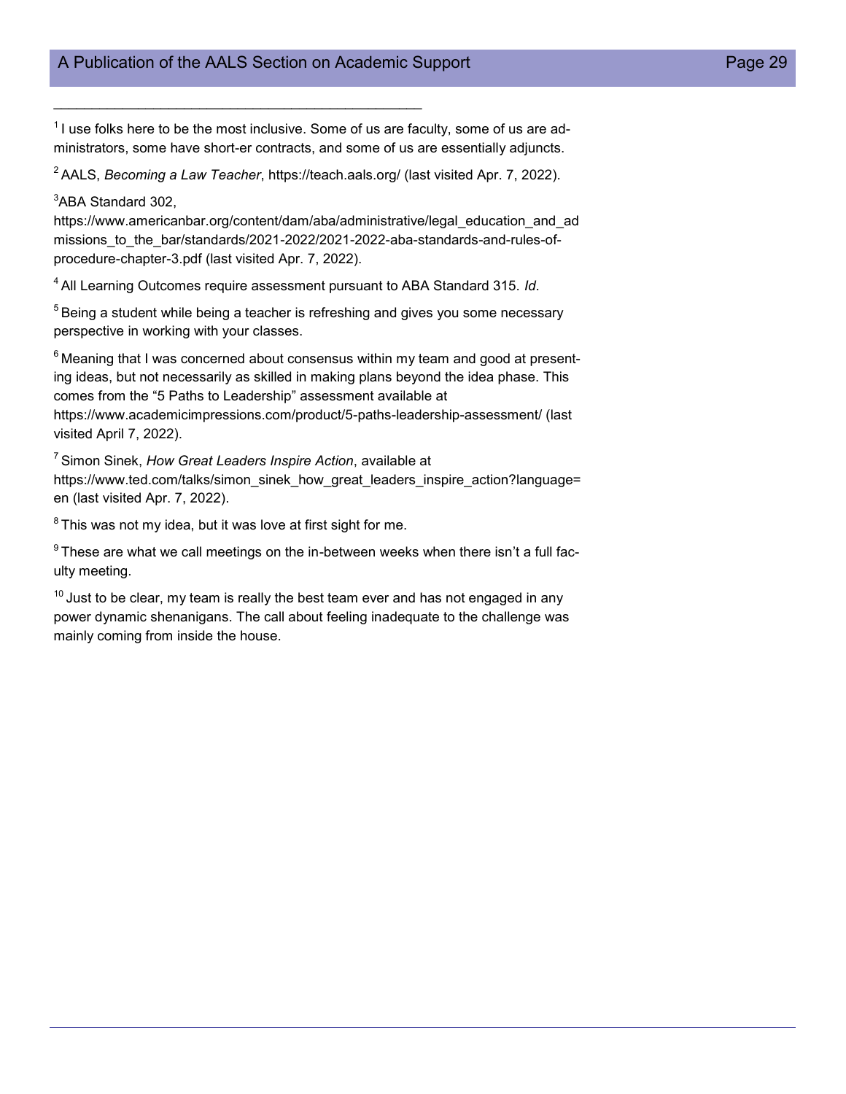$\mathcal{L}_\text{max}$  and  $\mathcal{L}_\text{max}$  and  $\mathcal{L}_\text{max}$  and  $\mathcal{L}_\text{max}$  and  $\mathcal{L}_\text{max}$ 

 $1$ I use folks here to be the most inclusive. Some of us are faculty, some of us are administrators, some have short-er contracts, and some of us are essentially adjuncts.

<sup>2</sup>AALS, *Becoming a Law Teacher*, https://teach.aals.org/ (last visited Apr. 7, 2022).

 $3$ ABA Standard 302.

https://www.americanbar.org/content/dam/aba/administrative/legal\_education\_and\_ad missions\_to\_the\_bar/standards/2021-2022/2021-2022-aba-standards-and-rules-ofprocedure-chapter-3.pdf (last visited Apr. 7, 2022).

<sup>4</sup>All Learning Outcomes require assessment pursuant to ABA Standard 315. *Id*.

 $5$ Being a student while being a teacher is refreshing and gives you some necessary perspective in working with your classes.

 $6$ Meaning that I was concerned about consensus within my team and good at presenting ideas, but not necessarily as skilled in making plans beyond the idea phase. This comes from the "5 Paths to Leadership" assessment available at https://www.academicimpressions.com/product/5-paths-leadership-assessment/ (last visited April 7, 2022).

<sup>7</sup>Simon Sinek, *How Great Leaders Inspire Action*, available at https://www.ted.com/talks/simon\_sinek\_how\_great\_leaders\_inspire\_action?language= en (last visited Apr. 7, 2022).

 $8$ This was not my idea, but it was love at first sight for me.

 $9$ These are what we call meetings on the in-between weeks when there isn't a full faculty meeting.

 $10$  Just to be clear, my team is really the best team ever and has not engaged in any power dynamic shenanigans. The call about feeling inadequate to the challenge was mainly coming from inside the house.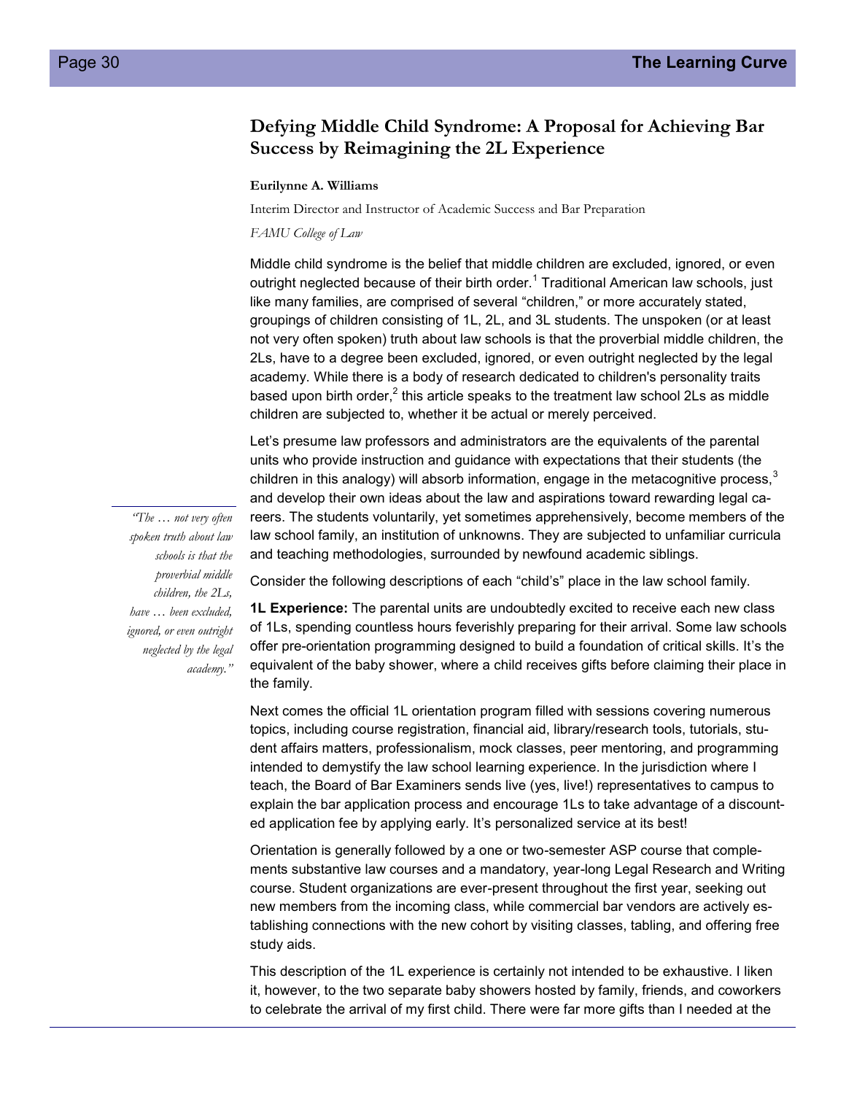## **Defying Middle Child Syndrome: A Proposal for Achieving Bar Success by Reimagining the 2L Experience**

#### **Eurilynne A. Williams**

Interim Director and Instructor of Academic Success and Bar Preparation

*FAMU College of Law*

Middle child syndrome is the belief that middle children are excluded, ignored, or even outright neglected because of their birth order.<sup>1</sup> Traditional American law schools, just like many families, are comprised of several "children," or more accurately stated, groupings of children consisting of 1L, 2L, and 3L students. The unspoken (or at least not very often spoken) truth about law schools is that the proverbial middle children, the 2Ls, have to a degree been excluded, ignored, or even outright neglected by the legal academy. While there is a body of research dedicated to children's personality traits based upon birth order, $^2$  this article speaks to the treatment law school 2Ls as middle children are subjected to, whether it be actual or merely perceived.

Let's presume law professors and administrators are the equivalents of the parental units who provide instruction and guidance with expectations that their students (the children in this analogy) will absorb information, engage in the metacognitive process, $3$ and develop their own ideas about the law and aspirations toward rewarding legal careers. The students voluntarily, yet sometimes apprehensively, become members of the law school family, an institution of unknowns. They are subjected to unfamiliar curricula and teaching methodologies, surrounded by newfound academic siblings.

Consider the following descriptions of each "child's" place in the law school family.

**1L Experience:** The parental units are undoubtedly excited to receive each new class of 1Ls, spending countless hours feverishly preparing for their arrival. Some law schools offer pre-orientation programming designed to build a foundation of critical skills. It's the equivalent of the baby shower, where a child receives gifts before claiming their place in the family.

Next comes the official 1L orientation program filled with sessions covering numerous topics, including course registration, financial aid, library/research tools, tutorials, student affairs matters, professionalism, mock classes, peer mentoring, and programming intended to demystify the law school learning experience. In the jurisdiction where I teach, the Board of Bar Examiners sends live (yes, live!) representatives to campus to explain the bar application process and encourage 1Ls to take advantage of a discounted application fee by applying early. It's personalized service at its best!

Orientation is generally followed by a one or two-semester ASP course that complements substantive law courses and a mandatory, year-long Legal Research and Writing course. Student organizations are ever-present throughout the first year, seeking out new members from the incoming class, while commercial bar vendors are actively establishing connections with the new cohort by visiting classes, tabling, and offering free study aids.

This description of the 1L experience is certainly not intended to be exhaustive. I liken it, however, to the two separate baby showers hosted by family, friends, and coworkers to celebrate the arrival of my first child. There were far more gifts than I needed at the

*"The … not very often spoken truth about law schools is that the proverbial middle children, the 2Ls, have … been excluded, ignored, or even outright neglected by the legal academy."*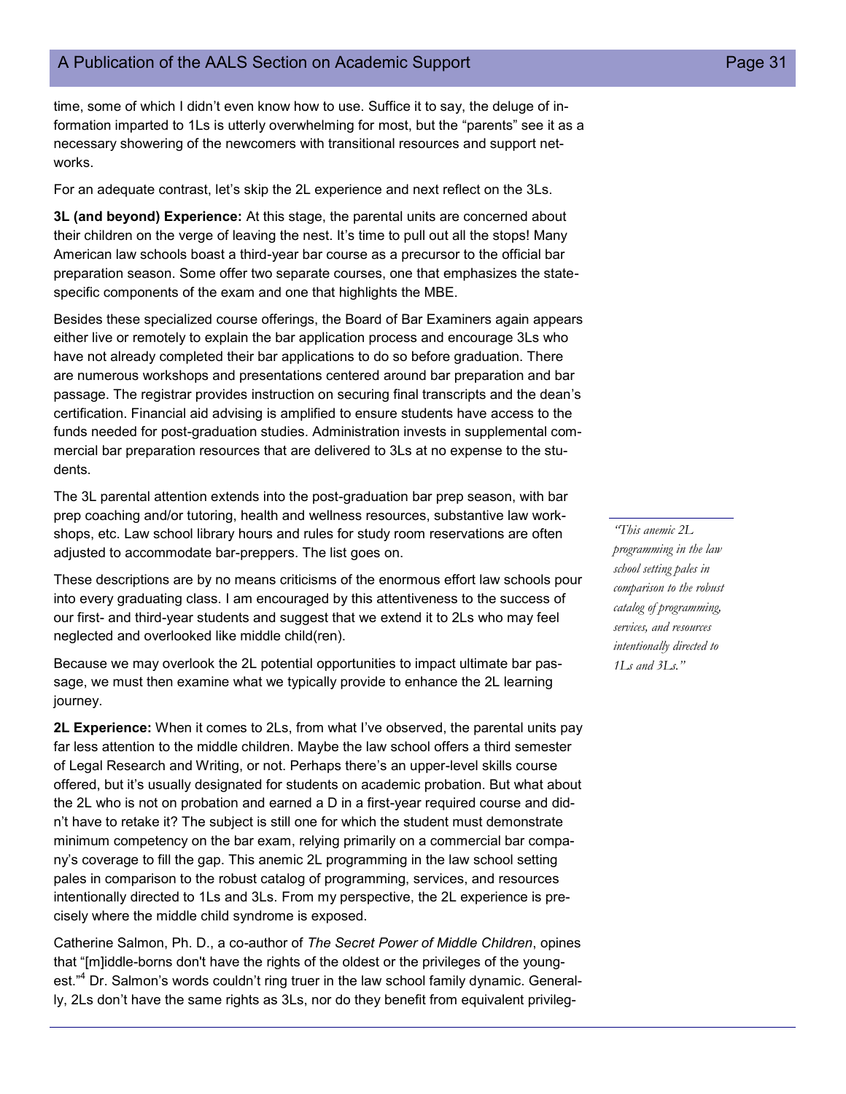time, some of which I didn't even know how to use. Suffice it to say, the deluge of information imparted to 1Ls is utterly overwhelming for most, but the "parents" see it as a necessary showering of the newcomers with transitional resources and support networks.

For an adequate contrast, let's skip the 2L experience and next reflect on the 3Ls.

**3L (and beyond) Experience:** At this stage, the parental units are concerned about their children on the verge of leaving the nest. It's time to pull out all the stops! Many American law schools boast a third-year bar course as a precursor to the official bar preparation season. Some offer two separate courses, one that emphasizes the statespecific components of the exam and one that highlights the MBE.

Besides these specialized course offerings, the Board of Bar Examiners again appears either live or remotely to explain the bar application process and encourage 3Ls who have not already completed their bar applications to do so before graduation. There are numerous workshops and presentations centered around bar preparation and bar passage. The registrar provides instruction on securing final transcripts and the dean's certification. Financial aid advising is amplified to ensure students have access to the funds needed for post-graduation studies. Administration invests in supplemental commercial bar preparation resources that are delivered to 3Ls at no expense to the students.

The 3L parental attention extends into the post-graduation bar prep season, with bar prep coaching and/or tutoring, health and wellness resources, substantive law workshops, etc. Law school library hours and rules for study room reservations are often adjusted to accommodate bar-preppers. The list goes on.

These descriptions are by no means criticisms of the enormous effort law schools pour into every graduating class. I am encouraged by this attentiveness to the success of our first- and third-year students and suggest that we extend it to 2Ls who may feel neglected and overlooked like middle child(ren).

Because we may overlook the 2L potential opportunities to impact ultimate bar passage, we must then examine what we typically provide to enhance the 2L learning journey.

**2L Experience:** When it comes to 2Ls, from what I've observed, the parental units pay far less attention to the middle children. Maybe the law school offers a third semester of Legal Research and Writing, or not. Perhaps there's an upper-level skills course offered, but it's usually designated for students on academic probation. But what about the 2L who is not on probation and earned a D in a first-year required course and didn't have to retake it? The subject is still one for which the student must demonstrate minimum competency on the bar exam, relying primarily on a commercial bar company's coverage to fill the gap. This anemic 2L programming in the law school setting pales in comparison to the robust catalog of programming, services, and resources intentionally directed to 1Ls and 3Ls. From my perspective, the 2L experience is precisely where the middle child syndrome is exposed.

Catherine Salmon, Ph. D., a co-author of *The Secret Power of Middle Children*, opines that "[m]iddle-borns don't have the rights of the oldest or the privileges of the youngest."<sup>4</sup> Dr. Salmon's words couldn't ring truer in the law school family dynamic. Generally, 2Ls don't have the same rights as 3Ls, nor do they benefit from equivalent privileg-

*"This anemic 2L programming in the law school setting pales in comparison to the robust catalog of programming, services, and resources intentionally directed to 1Ls and 3Ls."*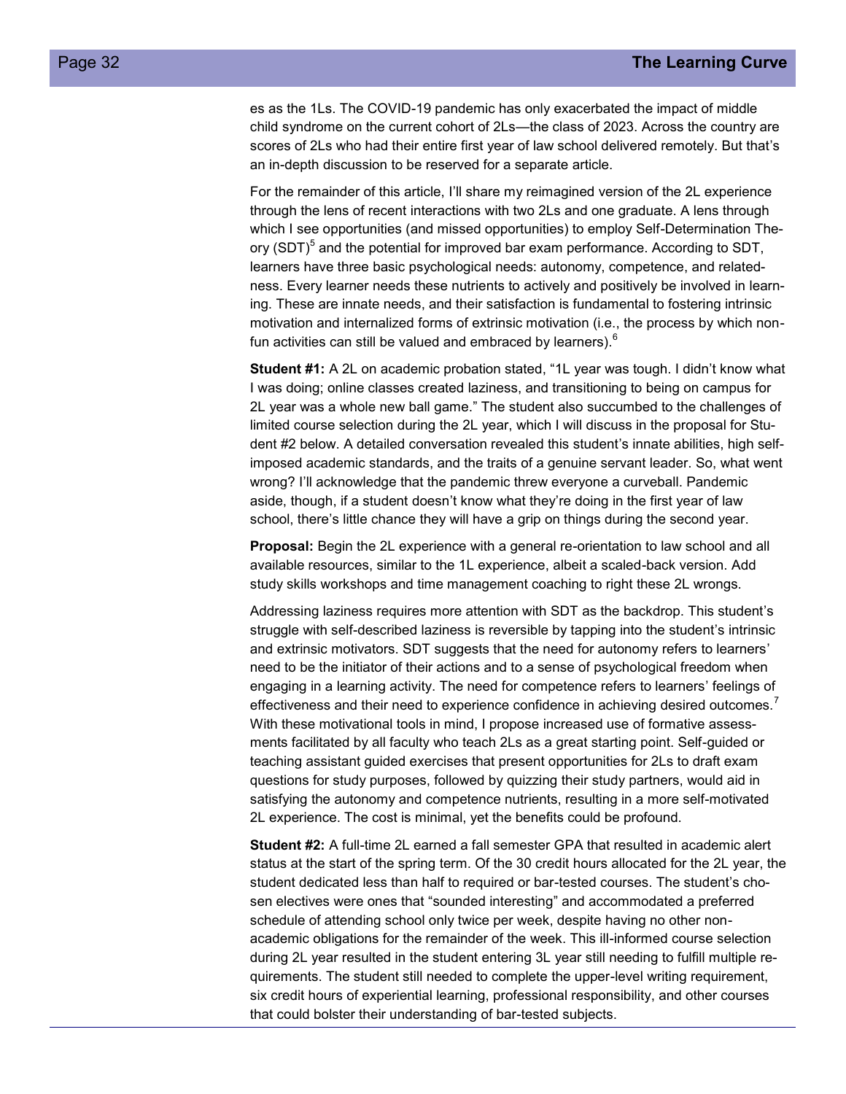es as the 1Ls. The COVID-19 pandemic has only exacerbated the impact of middle child syndrome on the current cohort of 2Ls—the class of 2023. Across the country are scores of 2Ls who had their entire first year of law school delivered remotely. But that's an in-depth discussion to be reserved for a separate article.

For the remainder of this article, I'll share my reimagined version of the 2L experience through the lens of recent interactions with two 2Ls and one graduate. A lens through which I see opportunities (and missed opportunities) to employ Self-Determination Theory (SDT)<sup>5</sup> and the potential for improved bar exam performance. According to SDT, learners have three basic psychological needs: autonomy, competence, and relatedness. Every learner needs these nutrients to actively and positively be involved in learning. These are innate needs, and their satisfaction is fundamental to fostering intrinsic motivation and internalized forms of extrinsic motivation (i.e., the process by which nonfun activities can still be valued and embraced by learners). $<sup>6</sup>$ </sup>

**Student #1:** A 2L on academic probation stated, "1L year was tough. I didn't know what I was doing; online classes created laziness, and transitioning to being on campus for 2L year was a whole new ball game." The student also succumbed to the challenges of limited course selection during the 2L year, which I will discuss in the proposal for Student #2 below. A detailed conversation revealed this student's innate abilities, high selfimposed academic standards, and the traits of a genuine servant leader. So, what went wrong? I'll acknowledge that the pandemic threw everyone a curveball. Pandemic aside, though, if a student doesn't know what they're doing in the first year of law school, there's little chance they will have a grip on things during the second year.

**Proposal:** Begin the 2L experience with a general re-orientation to law school and all available resources, similar to the 1L experience, albeit a scaled-back version. Add study skills workshops and time management coaching to right these 2L wrongs.

Addressing laziness requires more attention with SDT as the backdrop. This student's struggle with self-described laziness is reversible by tapping into the student's intrinsic and extrinsic motivators. SDT suggests that the need for autonomy refers to learners' need to be the initiator of their actions and to a sense of psychological freedom when engaging in a learning activity. The need for competence refers to learners' feelings of effectiveness and their need to experience confidence in achieving desired outcomes.<sup>7</sup> With these motivational tools in mind, I propose increased use of formative assessments facilitated by all faculty who teach 2Ls as a great starting point. Self-guided or teaching assistant guided exercises that present opportunities for 2Ls to draft exam questions for study purposes, followed by quizzing their study partners, would aid in satisfying the autonomy and competence nutrients, resulting in a more self-motivated 2L experience. The cost is minimal, yet the benefits could be profound.

**Student #2:** A full-time 2L earned a fall semester GPA that resulted in academic alert status at the start of the spring term. Of the 30 credit hours allocated for the 2L year, the student dedicated less than half to required or bar-tested courses. The student's chosen electives were ones that "sounded interesting" and accommodated a preferred schedule of attending school only twice per week, despite having no other nonacademic obligations for the remainder of the week. This ill-informed course selection during 2L year resulted in the student entering 3L year still needing to fulfill multiple requirements. The student still needed to complete the upper-level writing requirement, six credit hours of experiential learning, professional responsibility, and other courses that could bolster their understanding of bar-tested subjects.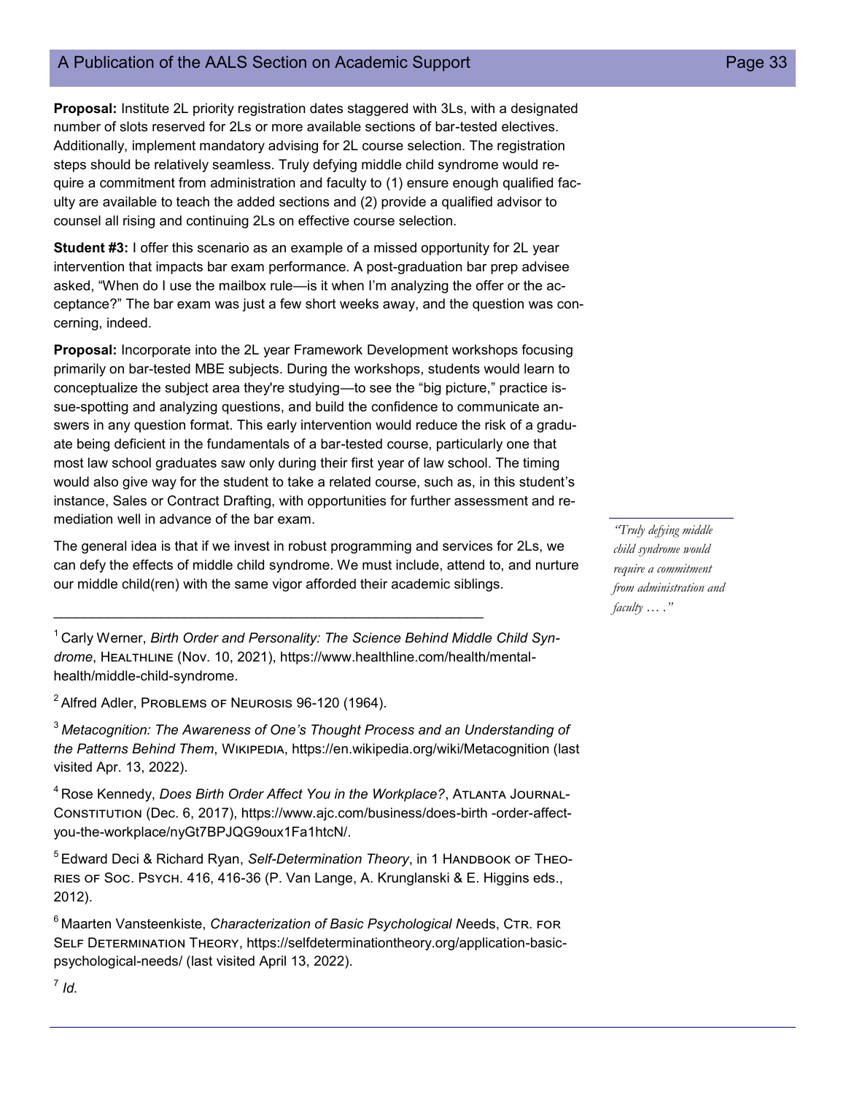## A Publication of the AALS Section on Academic Support **Page 33** Page 33

**Proposal:** Institute 2L priority registration dates staggered with 3Ls, with a designated number of slots reserved for 2Ls or more available sections of bar-tested electives. Additionally, implement mandatory advising for 2L course selection. The registration steps should be relatively seamless. Truly defying middle child syndrome would require a commitment from administration and faculty to (1) ensure enough qualified faculty are available to teach the added sections and (2) provide a qualified advisor to counsel all rising and continuing 2Ls on effective course selection.

**Student #3:** I offer this scenario as an example of a missed opportunity for 2L year intervention that impacts bar exam performance. A post-graduation bar prep advisee asked, "When do I use the mailbox rule—is it when I'm analyzing the offer or the acceptance?" The bar exam was just a few short weeks away, and the question was concerning, indeed.

**Proposal:** Incorporate into the 2L year Framework Development workshops focusing primarily on bar-tested MBE subjects. During the workshops, students would learn to conceptualize the subject area they're studying—to see the "big picture," practice issue-spotting and analyzing questions, and build the confidence to communicate answers in any question format. This early intervention would reduce the risk of a graduate being deficient in the fundamentals of a bar-tested course, particularly one that most law school graduates saw only during their first year of law school. The timing would also give way for the student to take a related course, such as, in this student's instance, Sales or Contract Drafting, with opportunities for further assessment and remediation well in advance of the bar exam.

The general idea is that if we invest in robust programming and services for 2Ls, we can defy the effects of middle child syndrome. We must include, attend to, and nurture our middle child(ren) with the same vigor afforded their academic siblings.

<sup>1</sup> Carly Werner, Birth Order and Personality: The Science Behind Middle Child Syn*drome*, Healthline (Nov. 10, 2021), https://www.healthline.com/health/mentalhealth/middle-child-syndrome.

\_\_\_\_\_\_\_\_\_\_\_\_\_\_\_\_\_\_\_\_\_\_\_\_\_\_\_\_\_\_\_\_\_\_\_\_\_\_\_\_\_\_\_\_\_\_\_\_\_\_\_\_\_\_\_\_

 $2$  Alfred Adler, Problems of Neurosis 96-120 (1964).

<sup>3</sup>*Metacognition: The Awareness of One's Thought Process and an Understanding of the Patterns Behind Them*, Wikipedia, https://en.wikipedia.org/wiki/Metacognition (last visited Apr. 13, 2022).

<sup>4</sup>Rose Kennedy, *Does Birth Order Affect You in the Workplace?*, Atlanta Journal-Constitution (Dec. 6, 2017), https://www.ajc.com/business/does-birth -order-affectyou-the-workplace/nyGt7BPJQG9oux1Fa1htcN/.

<sup>5</sup>Edward Deci & Richard Ryan, *Self-Determination Theory*, in 1 Handbook of Theories of Soc. Psych. 416, 416-36 (P. Van Lange, A. Krunglanski & E. Higgins eds., 2012).

<sup>6</sup> Maarten Vansteenkiste, *Characterization of Basic Psychological Needs*, CTR. FOR SELF DETERMINATION THEORY, https://selfdeterminationtheory.org/application-basicpsychological-needs/ (last visited April 13, 2022).

*"Truly defying middle child syndrome would require a commitment from administration and faculty … ."*

7 *Id.*